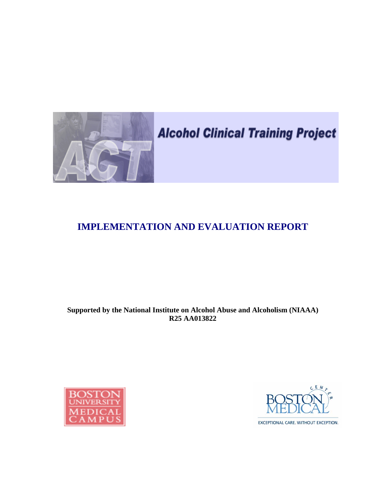

# **Alcohol Clinical Training Project**

## **IMPLEMENTATION AND EVALUATION REPORT**

## **Supported by the National Institute on Alcohol Abuse and Alcoholism (NIAAA) R25 AA013822**





EXCEPTIONAL CARE. WITHOUT EXCEPTION.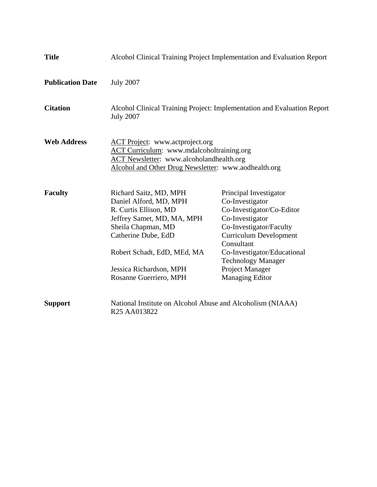| <b>Title</b>            |                                                                                                                                                                                                                                          | Alcohol Clinical Training Project Implementation and Evaluation Report                                                                                                                                                                                                       |
|-------------------------|------------------------------------------------------------------------------------------------------------------------------------------------------------------------------------------------------------------------------------------|------------------------------------------------------------------------------------------------------------------------------------------------------------------------------------------------------------------------------------------------------------------------------|
| <b>Publication Date</b> | <b>July 2007</b>                                                                                                                                                                                                                         |                                                                                                                                                                                                                                                                              |
| <b>Citation</b>         | <b>July 2007</b>                                                                                                                                                                                                                         | Alcohol Clinical Training Project: Implementation and Evaluation Report                                                                                                                                                                                                      |
| <b>Web Address</b>      | <b>ACT Project:</b> www.actproject.org<br>ACT Curriculum: www.mdalcoholtraining.org<br><b>ACT Newsletter:</b> www.alcoholandhealth.org<br>Alcohol and Other Drug Newsletter: www.aodhealth.org                                           |                                                                                                                                                                                                                                                                              |
| <b>Faculty</b>          | Richard Saitz, MD, MPH<br>Daniel Alford, MD, MPH<br>R. Curtis Ellison, MD<br>Jeffrey Samet, MD, MA, MPH<br>Sheila Chapman, MD<br>Catherine Dube, EdD<br>Robert Schadt, EdD, MEd, MA<br>Jessica Richardson, MPH<br>Rosanne Guerriero, MPH | Principal Investigator<br>Co-Investigator<br>Co-Investigator/Co-Editor<br>Co-Investigator<br>Co-Investigator/Faculty<br><b>Curriculum Development</b><br>Consultant<br>Co-Investigator/Educational<br><b>Technology Manager</b><br>Project Manager<br><b>Managing Editor</b> |
| <b>Support</b>          | National Institute on Alcohol Abuse and Alcoholism (NIAAA)<br>R <sub>25</sub> AA013822                                                                                                                                                   |                                                                                                                                                                                                                                                                              |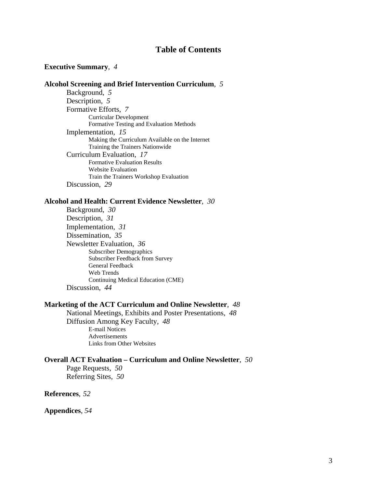## **Table of Contents**

#### **Executive Summary**,*4*

## **Alcohol Screening and Brief Intervention Curriculum**, *5* Background, *5* Description, *5* Formative Efforts, 7<br>Curricular Development Formative Testing and Evaluation Methods Implementation, *15* Making the Curriculum Available on the Internet Training the Trainers Nationwide Curriculum Evaluation, *17* Formative Evaluation Results Website Evaluation Train the Trainers Workshop Evaluation Discussion, *29*

#### **Alcohol and Health: Current Evidence Newsletter**,*30*

Background, *30* Description, *31*  Implementation, *31* Dissemination, *35*  Newsletter Evaluation, *36*  Subscriber Demographics Subscriber Feedback from Survey General Feedback Web Trends Continuing Medical Education (CME) Discussion, *44* 

#### **Marketing of the ACT Curriculum and Online Newsletter**,*48*

 National Meetings, Exhibits and Poster Presentations, *48*  Diffusion Among Key Faculty, *48* E-mail Notices **Advertisements** Links from Other Websites

### **Overall ACT Evaluation – Curriculum and Online Newsletter**, *50*  Page Requests, *50*

Referring Sites, *50* 

## **References**, *52*

**Appendices**, *54*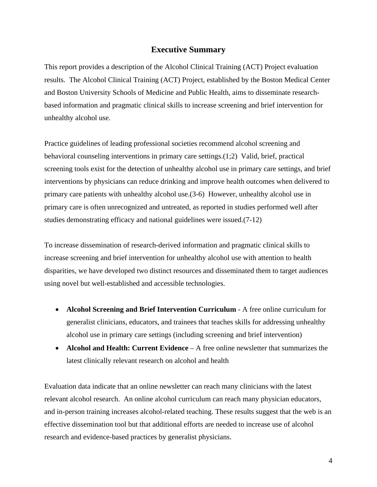## **Executive Summary**

This report provides a description of the Alcohol Clinical Training (ACT) Project evaluation results. The Alcohol Clinical Training (ACT) Project, established by the Boston Medical Center and Boston University Schools of Medicine and Public Health, aims to disseminate researchbased information and pragmatic clinical skills to increase screening and brief intervention for unhealthy alcohol use.

Practice guidelines of leading professional societies recommend alcohol screening and behavioral counseling interventions in primary care settings.(1;2) Valid, brief, practical screening tools exist for the detection of unhealthy alcohol use in primary care settings, and brief interventions by physicians can reduce drinking and improve health outcomes when delivered to primary care patients with unhealthy alcohol use.(3-6) However, unhealthy alcohol use in primary care is often unrecognized and untreated, as reported in studies performed well after studies demonstrating efficacy and national guidelines were issued.(7-12)

To increase dissemination of research-derived information and pragmatic clinical skills to increase screening and brief intervention for unhealthy alcohol use with attention to health disparities, we have developed two distinct resources and disseminated them to target audiences using novel but well-established and accessible technologies.

- **Alcohol Screening and Brief Intervention Curriculum** A free online curriculum for generalist clinicians, educators, and trainees that teaches skills for addressing unhealthy alcohol use in primary care settings (including screening and brief intervention)
- **Alcohol and Health: Current Evidence** A free online newsletter that summarizes the latest clinically relevant research on alcohol and health

Evaluation data indicate that an online newsletter can reach many clinicians with the latest relevant alcohol research. An online alcohol curriculum can reach many physician educators, and in-person training increases alcohol-related teaching. These results suggest that the web is an effective dissemination tool but that additional efforts are needed to increase use of alcohol research and evidence-based practices by generalist physicians.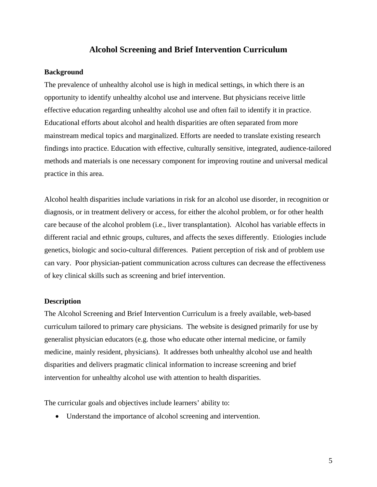## **Alcohol Screening and Brief Intervention Curriculum**

#### **Background**

The prevalence of unhealthy alcohol use is high in medical settings, in which there is an opportunity to identify unhealthy alcohol use and intervene. But physicians receive little effective education regarding unhealthy alcohol use and often fail to identify it in practice. Educational efforts about alcohol and health disparities are often separated from more mainstream medical topics and marginalized. Efforts are needed to translate existing research findings into practice. Education with effective, culturally sensitive, integrated, audience-tailored methods and materials is one necessary component for improving routine and universal medical practice in this area.

Alcohol health disparities include variations in risk for an alcohol use disorder, in recognition or diagnosis, or in treatment delivery or access, for either the alcohol problem, or for other health care because of the alcohol problem (i.e., liver transplantation). Alcohol has variable effects in different racial and ethnic groups, cultures, and affects the sexes differently. Etiologies include genetics, biologic and socio-cultural differences. Patient perception of risk and of problem use can vary. Poor physician-patient communication across cultures can decrease the effectiveness of key clinical skills such as screening and brief intervention.

#### **Description**

The Alcohol Screening and Brief Intervention Curriculum is a freely available, web-based curriculum tailored to primary care physicians. The website is designed primarily for use by generalist physician educators (e.g. those who educate other internal medicine, or family medicine, mainly resident, physicians). It addresses both unhealthy alcohol use and health disparities and delivers pragmatic clinical information to increase screening and brief intervention for unhealthy alcohol use with attention to health disparities.

The curricular goals and objectives include learners' ability to:

• Understand the importance of alcohol screening and intervention.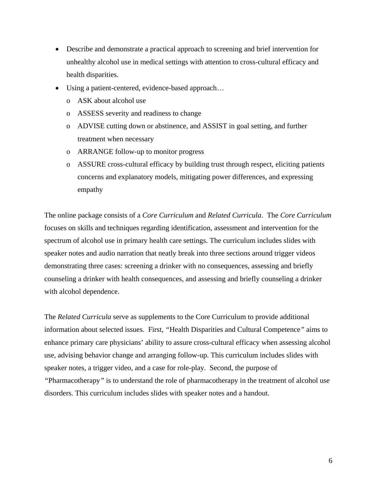- Describe and demonstrate a practical approach to screening and brief intervention for unhealthy alcohol use in medical settings with attention to cross-cultural efficacy and health disparities.
- Using a patient-centered, evidence-based approach…
	- o ASK about alcohol use
	- o ASSESS severity and readiness to change
	- o ADVISE cutting down or abstinence, and ASSIST in goal setting, and further treatment when necessary
	- o ARRANGE follow-up to monitor progress
	- o ASSURE cross-cultural efficacy by building trust through respect, eliciting patients concerns and explanatory models, mitigating power differences, and expressing empathy

The online package consists of a *Core Curriculum* and *Related Curricula*. The *Core Curriculum* focuses on skills and techniques regarding identification, assessment and intervention for the spectrum of alcohol use in primary health care settings. The curriculum includes slides with speaker notes and audio narration that neatly break into three sections around trigger videos demonstrating three cases: screening a drinker with no consequences, assessing and briefly counseling a drinker with health consequences, and assessing and briefly counseling a drinker with alcohol dependence.

The *Related Curricula* serve as supplements to the Core Curriculum to provide additional information about selected issues. First, *"*Health Disparities and Cultural Competence*"* aims to enhance primary care physicians' ability to assure cross-cultural efficacy when assessing alcohol use, advising behavior change and arranging follow-up. This curriculum includes slides with speaker notes, a trigger video, and a case for role-play. Second, the purpose of *"*Pharmacotherapy*"* is to understand the role of pharmacotherapy in the treatment of alcohol use disorders. This curriculum includes slides with speaker notes and a handout.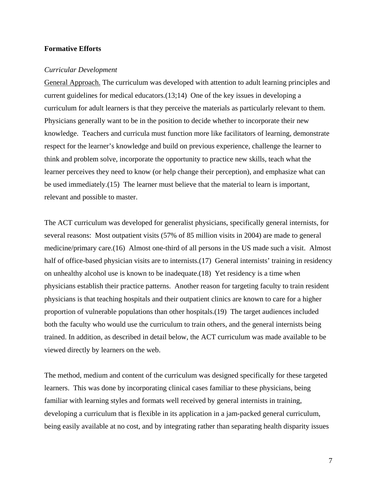#### **Formative Efforts**

#### *Curricular Development*

General Approach. The curriculum was developed with attention to adult learning principles and current guidelines for medical educators.(13;14) One of the key issues in developing a curriculum for adult learners is that they perceive the materials as particularly relevant to them. Physicians generally want to be in the position to decide whether to incorporate their new knowledge. Teachers and curricula must function more like facilitators of learning, demonstrate respect for the learner's knowledge and build on previous experience, challenge the learner to think and problem solve, incorporate the opportunity to practice new skills, teach what the learner perceives they need to know (or help change their perception), and emphasize what can be used immediately.(15) The learner must believe that the material to learn is important, relevant and possible to master.

The ACT curriculum was developed for generalist physicians, specifically general internists, for several reasons: Most outpatient visits (57% of 85 million visits in 2004) are made to general medicine/primary care.(16) Almost one-third of all persons in the US made such a visit. Almost half of office-based physician visits are to internists. (17) General internists' training in residency on unhealthy alcohol use is known to be inadequate.(18) Yet residency is a time when physicians establish their practice patterns. Another reason for targeting faculty to train resident physicians is that teaching hospitals and their outpatient clinics are known to care for a higher proportion of vulnerable populations than other hospitals.(19) The target audiences included both the faculty who would use the curriculum to train others, and the general internists being trained. In addition, as described in detail below, the ACT curriculum was made available to be viewed directly by learners on the web.

The method, medium and content of the curriculum was designed specifically for these targeted learners. This was done by incorporating clinical cases familiar to these physicians, being familiar with learning styles and formats well received by general internists in training, developing a curriculum that is flexible in its application in a jam-packed general curriculum, being easily available at no cost, and by integrating rather than separating health disparity issues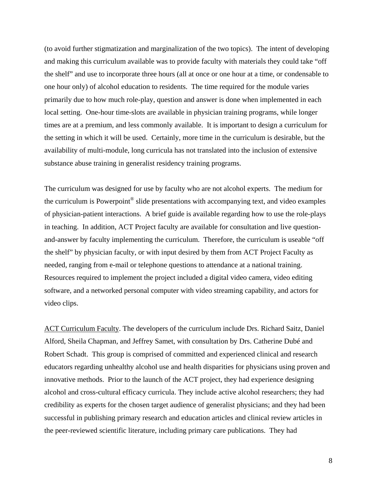(to avoid further stigmatization and marginalization of the two topics). The intent of developing and making this curriculum available was to provide faculty with materials they could take "off the shelf" and use to incorporate three hours (all at once or one hour at a time, or condensable to one hour only) of alcohol education to residents. The time required for the module varies primarily due to how much role-play, question and answer is done when implemented in each local setting. One-hour time-slots are available in physician training programs, while longer times are at a premium, and less commonly available. It is important to design a curriculum for the setting in which it will be used. Certainly, more time in the curriculum is desirable, but the availability of multi-module, long curricula has not translated into the inclusion of extensive substance abuse training in generalist residency training programs.

The curriculum was designed for use by faculty who are not alcohol experts. The medium for the curriculum is Powerpoint® slide presentations with accompanying text, and video examples of physician-patient interactions. A brief guide is available regarding how to use the role-plays in teaching. In addition, ACT Project faculty are available for consultation and live questionand-answer by faculty implementing the curriculum. Therefore, the curriculum is useable "off the shelf" by physician faculty, or with input desired by them from ACT Project Faculty as needed, ranging from e-mail or telephone questions to attendance at a national training. Resources required to implement the project included a digital video camera, video editing software, and a networked personal computer with video streaming capability, and actors for video clips.

ACT Curriculum Faculty. The developers of the curriculum include Drs. Richard Saitz, Daniel Alford, Sheila Chapman, and Jeffrey Samet, with consultation by Drs. Catherine Dubé and Robert Schadt. This group is comprised of committed and experienced clinical and research educators regarding unhealthy alcohol use and health disparities for physicians using proven and innovative methods. Prior to the launch of the ACT project, they had experience designing alcohol and cross-cultural efficacy curricula. They include active alcohol researchers; they had credibility as experts for the chosen target audience of generalist physicians; and they had been successful in publishing primary research and education articles and clinical review articles in the peer-reviewed scientific literature, including primary care publications. They had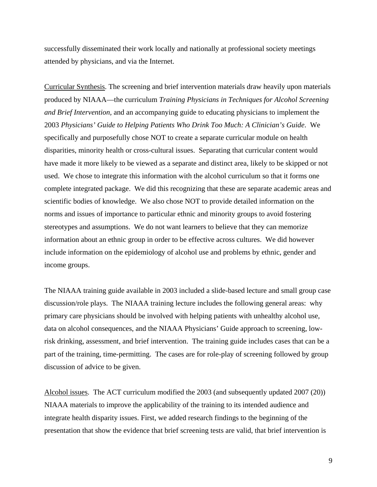successfully disseminated their work locally and nationally at professional society meetings attended by physicians, and via the Internet.

Curricular Synthesis. The screening and brief intervention materials draw heavily upon materials produced by NIAAA—the curriculum *Training Physicians in Techniques for Alcohol Screening and Brief Intervention,* and an accompanying guide to educating physicians to implement the 2003 *Physicians' Guide to Helping Patients Who Drink Too Much: A Clinician's Guide*. We specifically and purposefully chose NOT to create a separate curricular module on health disparities, minority health or cross-cultural issues. Separating that curricular content would have made it more likely to be viewed as a separate and distinct area, likely to be skipped or not used. We chose to integrate this information with the alcohol curriculum so that it forms one complete integrated package. We did this recognizing that these are separate academic areas and scientific bodies of knowledge. We also chose NOT to provide detailed information on the norms and issues of importance to particular ethnic and minority groups to avoid fostering stereotypes and assumptions. We do not want learners to believe that they can memorize information about an ethnic group in order to be effective across cultures. We did however include information on the epidemiology of alcohol use and problems by ethnic, gender and income groups.

The NIAAA training guide available in 2003 included a slide-based lecture and small group case discussion/role plays. The NIAAA training lecture includes the following general areas: why primary care physicians should be involved with helping patients with unhealthy alcohol use, data on alcohol consequences, and the NIAAA Physicians' Guide approach to screening, lowrisk drinking, assessment, and brief intervention. The training guide includes cases that can be a part of the training, time-permitting. The cases are for role-play of screening followed by group discussion of advice to be given.

Alcohol issues. The ACT curriculum modified the 2003 (and subsequently updated 2007 (20)) NIAAA materials to improve the applicability of the training to its intended audience and integrate health disparity issues. First, we added research findings to the beginning of the presentation that show the evidence that brief screening tests are valid, that brief intervention is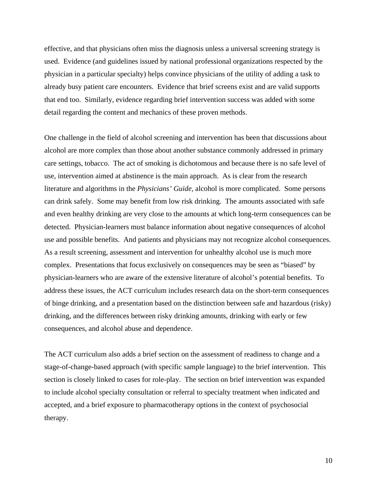effective, and that physicians often miss the diagnosis unless a universal screening strategy is used. Evidence (and guidelines issued by national professional organizations respected by the physician in a particular specialty) helps convince physicians of the utility of adding a task to already busy patient care encounters. Evidence that brief screens exist and are valid supports that end too. Similarly, evidence regarding brief intervention success was added with some detail regarding the content and mechanics of these proven methods.

One challenge in the field of alcohol screening and intervention has been that discussions about alcohol are more complex than those about another substance commonly addressed in primary care settings, tobacco. The act of smoking is dichotomous and because there is no safe level of use, intervention aimed at abstinence is the main approach. As is clear from the research literature and algorithms in the *Physicians' Guide*, alcohol is more complicated. Some persons can drink safely. Some may benefit from low risk drinking. The amounts associated with safe and even healthy drinking are very close to the amounts at which long-term consequences can be detected. Physician-learners must balance information about negative consequences of alcohol use and possible benefits. And patients and physicians may not recognize alcohol consequences. As a result screening, assessment and intervention for unhealthy alcohol use is much more complex. Presentations that focus exclusively on consequences may be seen as "biased" by physician-learners who are aware of the extensive literature of alcohol's potential benefits. To address these issues, the ACT curriculum includes research data on the short-term consequences of binge drinking, and a presentation based on the distinction between safe and hazardous (risky) drinking, and the differences between risky drinking amounts, drinking with early or few consequences, and alcohol abuse and dependence.

The ACT curriculum also adds a brief section on the assessment of readiness to change and a stage-of-change-based approach (with specific sample language) to the brief intervention. This section is closely linked to cases for role-play. The section on brief intervention was expanded to include alcohol specialty consultation or referral to specialty treatment when indicated and accepted, and a brief exposure to pharmacotherapy options in the context of psychosocial therapy.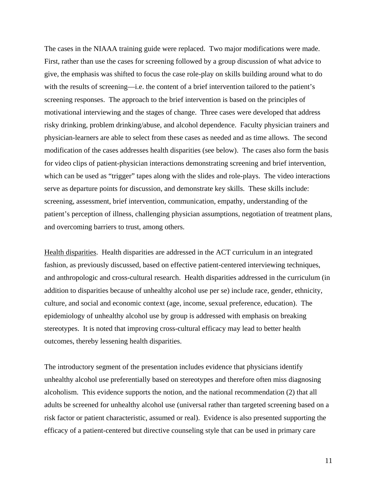The cases in the NIAAA training guide were replaced. Two major modifications were made. First, rather than use the cases for screening followed by a group discussion of what advice to give, the emphasis was shifted to focus the case role-play on skills building around what to do with the results of screening—i.e. the content of a brief intervention tailored to the patient's screening responses. The approach to the brief intervention is based on the principles of motivational interviewing and the stages of change. Three cases were developed that address risky drinking, problem drinking/abuse, and alcohol dependence. Faculty physician trainers and physician-learners are able to select from these cases as needed and as time allows. The second modification of the cases addresses health disparities (see below). The cases also form the basis for video clips of patient-physician interactions demonstrating screening and brief intervention, which can be used as "trigger" tapes along with the slides and role-plays. The video interactions serve as departure points for discussion, and demonstrate key skills. These skills include: screening, assessment, brief intervention, communication, empathy, understanding of the patient's perception of illness, challenging physician assumptions, negotiation of treatment plans, and overcoming barriers to trust, among others.

Health disparities. Health disparities are addressed in the ACT curriculum in an integrated fashion, as previously discussed, based on effective patient-centered interviewing techniques, and anthropologic and cross-cultural research. Health disparities addressed in the curriculum (in addition to disparities because of unhealthy alcohol use per se) include race, gender, ethnicity, culture, and social and economic context (age, income, sexual preference, education). The epidemiology of unhealthy alcohol use by group is addressed with emphasis on breaking stereotypes. It is noted that improving cross-cultural efficacy may lead to better health outcomes, thereby lessening health disparities.

The introductory segment of the presentation includes evidence that physicians identify unhealthy alcohol use preferentially based on stereotypes and therefore often miss diagnosing alcoholism. This evidence supports the notion, and the national recommendation (2) that all adults be screened for unhealthy alcohol use (universal rather than targeted screening based on a risk factor or patient characteristic, assumed or real). Evidence is also presented supporting the efficacy of a patient-centered but directive counseling style that can be used in primary care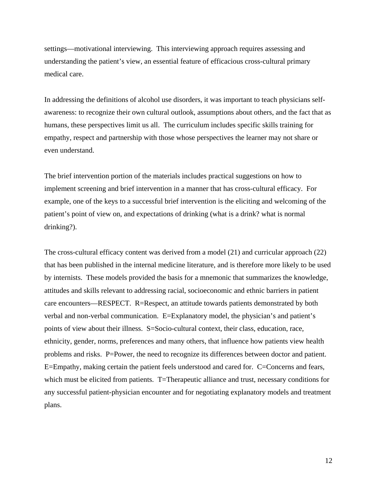settings—motivational interviewing. This interviewing approach requires assessing and understanding the patient's view, an essential feature of efficacious cross-cultural primary medical care.

In addressing the definitions of alcohol use disorders, it was important to teach physicians selfawareness: to recognize their own cultural outlook, assumptions about others, and the fact that as humans, these perspectives limit us all. The curriculum includes specific skills training for empathy, respect and partnership with those whose perspectives the learner may not share or even understand.

The brief intervention portion of the materials includes practical suggestions on how to implement screening and brief intervention in a manner that has cross-cultural efficacy. For example, one of the keys to a successful brief intervention is the eliciting and welcoming of the patient's point of view on, and expectations of drinking (what is a drink? what is normal drinking?).

The cross-cultural efficacy content was derived from a model (21) and curricular approach (22) that has been published in the internal medicine literature, and is therefore more likely to be used by internists. These models provided the basis for a mnemonic that summarizes the knowledge, attitudes and skills relevant to addressing racial, socioeconomic and ethnic barriers in patient care encounters—RESPECT. R=Respect, an attitude towards patients demonstrated by both verbal and non-verbal communication. E=Explanatory model, the physician's and patient's points of view about their illness. S=Socio-cultural context, their class, education, race, ethnicity, gender, norms, preferences and many others, that influence how patients view health problems and risks. P=Power, the need to recognize its differences between doctor and patient. E=Empathy, making certain the patient feels understood and cared for. C=Concerns and fears, which must be elicited from patients. T=Therapeutic alliance and trust, necessary conditions for any successful patient-physician encounter and for negotiating explanatory models and treatment plans.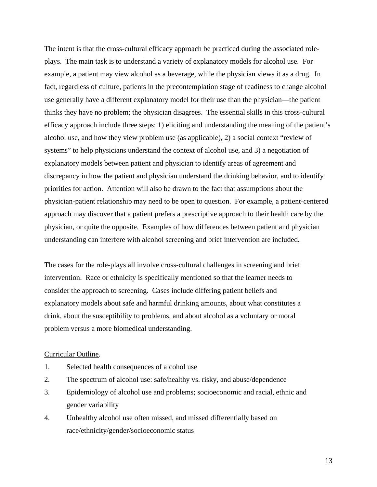The intent is that the cross-cultural efficacy approach be practiced during the associated roleplays. The main task is to understand a variety of explanatory models for alcohol use. For example, a patient may view alcohol as a beverage, while the physician views it as a drug. In fact, regardless of culture, patients in the precontemplation stage of readiness to change alcohol use generally have a different explanatory model for their use than the physician—the patient thinks they have no problem; the physician disagrees. The essential skills in this cross-cultural efficacy approach include three steps: 1) eliciting and understanding the meaning of the patient's alcohol use, and how they view problem use (as applicable), 2) a social context "review of systems" to help physicians understand the context of alcohol use, and 3) a negotiation of explanatory models between patient and physician to identify areas of agreement and discrepancy in how the patient and physician understand the drinking behavior, and to identify priorities for action. Attention will also be drawn to the fact that assumptions about the physician-patient relationship may need to be open to question. For example, a patient-centered approach may discover that a patient prefers a prescriptive approach to their health care by the physician, or quite the opposite. Examples of how differences between patient and physician understanding can interfere with alcohol screening and brief intervention are included.

The cases for the role-plays all involve cross-cultural challenges in screening and brief intervention. Race or ethnicity is specifically mentioned so that the learner needs to consider the approach to screening. Cases include differing patient beliefs and explanatory models about safe and harmful drinking amounts, about what constitutes a drink, about the susceptibility to problems, and about alcohol as a voluntary or moral problem versus a more biomedical understanding.

#### Curricular Outline.

- 1. Selected health consequences of alcohol use
- 2. The spectrum of alcohol use: safe/healthy vs. risky, and abuse/dependence
- 3. Epidemiology of alcohol use and problems; socioeconomic and racial, ethnic and gender variability
- 4. Unhealthy alcohol use often missed, and missed differentially based on race/ethnicity/gender/socioeconomic status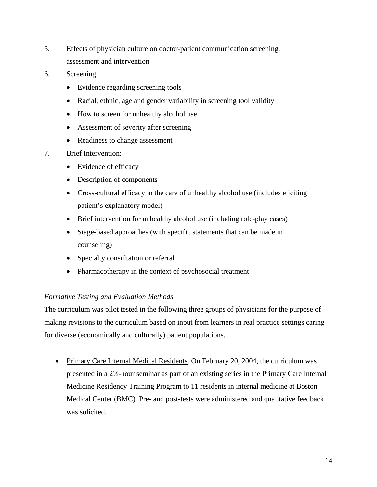- 5. Effects of physician culture on doctor-patient communication screening, assessment and intervention
- 6. Screening:
	- Evidence regarding screening tools
	- Racial, ethnic, age and gender variability in screening tool validity
	- How to screen for unhealthy alcohol use
	- Assessment of severity after screening
	- Readiness to change assessment

## 7. Brief Intervention:

- Evidence of efficacy
- Description of components
- Cross-cultural efficacy in the care of unhealthy alcohol use (includes eliciting patient's explanatory model)
- Brief intervention for unhealthy alcohol use (including role-play cases)
- Stage-based approaches (with specific statements that can be made in counseling)
- Specialty consultation or referral
- Pharmacotherapy in the context of psychosocial treatment

#### *Formative Testing and Evaluation Methods*

The curriculum was pilot tested in the following three groups of physicians for the purpose of making revisions to the curriculum based on input from learners in real practice settings caring for diverse (economically and culturally) patient populations.

• Primary Care Internal Medical Residents. On February 20, 2004, the curriculum was presented in a 2½-hour seminar as part of an existing series in the Primary Care Internal Medicine Residency Training Program to 11 residents in internal medicine at Boston Medical Center (BMC). Pre- and post-tests were administered and qualitative feedback was solicited.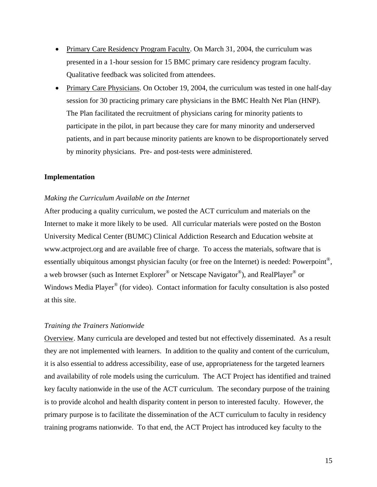- Primary Care Residency Program Faculty. On March 31, 2004, the curriculum was presented in a 1-hour session for 15 BMC primary care residency program faculty. Qualitative feedback was solicited from attendees.
- Primary Care Physicians. On October 19, 2004, the curriculum was tested in one half-day session for 30 practicing primary care physicians in the BMC Health Net Plan (HNP). The Plan facilitated the recruitment of physicians caring for minority patients to participate in the pilot, in part because they care for many minority and underserved patients, and in part because minority patients are known to be disproportionately served by minority physicians. Pre- and post-tests were administered.

#### **Implementation**

#### *Making the Curriculum Available on the Internet*

After producing a quality curriculum, we posted the ACT curriculum and materials on the Internet to make it more likely to be used. All curricular materials were posted on the Boston University Medical Center (BUMC) Clinical Addiction Research and Education website at www.actproject.org and are available free of charge. To access the materials, software that is essentially ubiquitous amongst physician faculty (or free on the Internet) is needed: Powerpoint®, a web browser (such as Internet Explorer® or Netscape Navigator®), and RealPlayer® or Windows Media Player<sup>®</sup> (for video). Contact information for faculty consultation is also posted at this site.

#### *Training the Trainers Nationwide*

Overview. Many curricula are developed and tested but not effectively disseminated. As a result they are not implemented with learners. In addition to the quality and content of the curriculum, it is also essential to address accessibility, ease of use, appropriateness for the targeted learners and availability of role models using the curriculum. The ACT Project has identified and trained key faculty nationwide in the use of the ACT curriculum. The secondary purpose of the training is to provide alcohol and health disparity content in person to interested faculty. However, the primary purpose is to facilitate the dissemination of the ACT curriculum to faculty in residency training programs nationwide. To that end, the ACT Project has introduced key faculty to the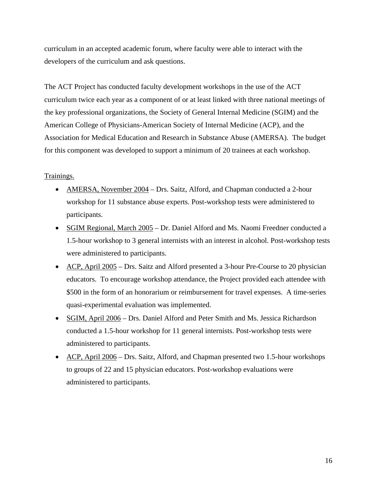curriculum in an accepted academic forum, where faculty were able to interact with the developers of the curriculum and ask questions.

The ACT Project has conducted faculty development workshops in the use of the ACT curriculum twice each year as a component of or at least linked with three national meetings of the key professional organizations, the Society of General Internal Medicine (SGIM) and the American College of Physicians-American Society of Internal Medicine (ACP), and the Association for Medical Education and Research in Substance Abuse (AMERSA). The budget for this component was developed to support a minimum of 20 trainees at each workshop.

#### Trainings.

- AMERSA, November 2004 Drs. Saitz, Alford, and Chapman conducted a 2-hour workshop for 11 substance abuse experts. Post-workshop tests were administered to participants.
- SGIM Regional, March 2005 Dr. Daniel Alford and Ms. Naomi Freedner conducted a 1.5-hour workshop to 3 general internists with an interest in alcohol. Post-workshop tests were administered to participants.
- ACP, April 2005 Drs. Saitz and Alford presented a 3-hour Pre-Course to 20 physician educators. To encourage workshop attendance, the Project provided each attendee with \$500 in the form of an honorarium or reimbursement for travel expenses. A time-series quasi-experimental evaluation was implemented.
- SGIM, April 2006 Drs. Daniel Alford and Peter Smith and Ms. Jessica Richardson conducted a 1.5-hour workshop for 11 general internists. Post-workshop tests were administered to participants.
- ACP, April 2006 Drs. Saitz, Alford, and Chapman presented two 1.5-hour workshops to groups of 22 and 15 physician educators. Post-workshop evaluations were administered to participants.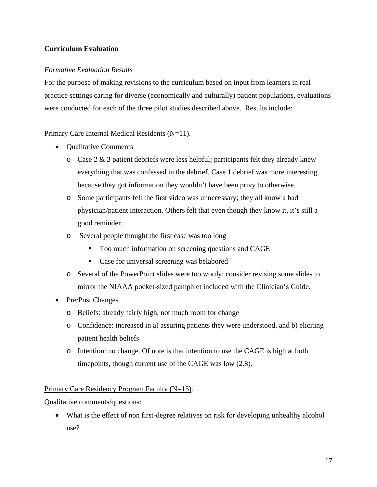## **Curriculum Evaluation**

## *Formative Evaluation Results*

For the purpose of making revisions to the curriculum based on input from learners in real practice settings caring for diverse (economically and culturally) patient populations, evaluations were conducted for each of the three pilot studies described above. Results include:

## Primary Care Internal Medical Residents (N=11).

- Qualitative Comments
	- $\circ$  Case 2 & 3 patient debriefs were less helpful; participants felt they already knew everything that was confessed in the debrief. Case 1 debrief was more interesting because they got information they wouldn't have been privy to otherwise.
	- o Some participants felt the first video was unnecessary; they all know a bad physician/patient interaction. Others felt that even though they know it, it's still a good reminder.
	- o Several people thought the first case was too long
		- **Too much information on screening questions and CAGE**
		- Case for universal screening was belabored
	- o Several of the PowerPoint slides were too wordy; consider revising some slides to mirror the NIAAA pocket-sized pamphlet included with the Clinician's Guide.
- Pre/Post Changes
	- o Beliefs: already fairly high, not much room for change
	- o Confidence: increased in a) assuring patients they were understood, and b) eliciting patient health beliefs
	- o Intention: no change. Of note is that intention to use the CAGE is high at both timepoints, though current use of the CAGE was low (2.8).

Primary Care Residency Program Faculty (N=15).

Qualitative comments/questions:

• What is the effect of non first-degree relatives on risk for developing unhealthy alcohol use?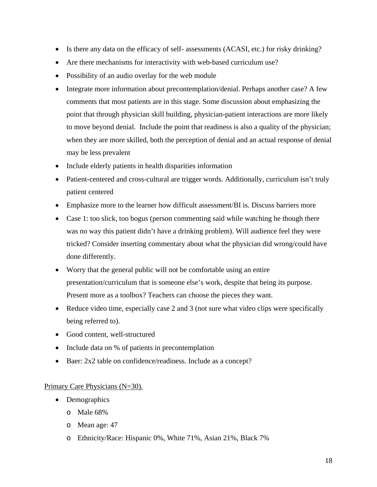- Is there any data on the efficacy of self- assessments (ACASI, etc.) for risky drinking?
- Are there mechanisms for interactivity with web-based curriculum use?
- Possibility of an audio overlay for the web module
- Integrate more information about precontemplation/denial. Perhaps another case? A few comments that most patients are in this stage. Some discussion about emphasizing the point that through physician skill building, physician-patient interactions are more likely to move beyond denial. Include the point that readiness is also a quality of the physician; when they are more skilled, both the perception of denial and an actual response of denial may be less prevalent
- Include elderly patients in health disparities information
- Patient-centered and cross-cultural are trigger words. Additionally, curriculum isn't truly patient centered
- Emphasize more to the learner how difficult assessment/BI is. Discuss barriers more
- Case 1: too slick, too bogus (person commenting said while watching he though there was no way this patient didn't have a drinking problem). Will audience feel they were tricked? Consider inserting commentary about what the physician did wrong/could have done differently.
- Worry that the general public will not be comfortable using an entire presentation/curriculum that is someone else's work, despite that being its purpose. Present more as a toolbox? Teachers can choose the pieces they want.
- Reduce video time, especially case 2 and 3 (not sure what video clips were specifically being referred to).
- Good content, well-structured
- Include data on % of patients in precontemplation
- Baer: 2x2 table on confidence/readiness. Include as a concept?

## Primary Care Physicians (N=30).

- Demographics
	- o Male 68%
	- o Mean age: 47
	- o Ethnicity/Race: Hispanic 0%, White 71%, Asian 21%, Black 7%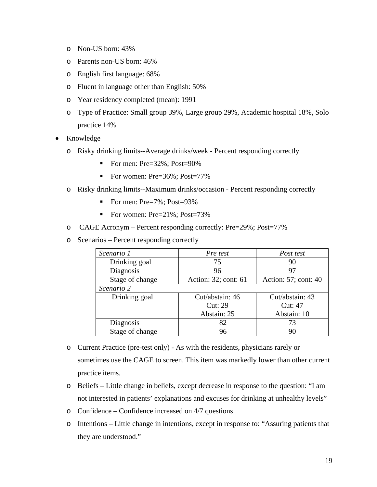- o Non-US born: 43%
- o Parents non-US born: 46%
- o English first language: 68%
- o Fluent in language other than English: 50%
- o Year residency completed (mean): 1991
- o Type of Practice: Small group 39%, Large group 29%, Academic hospital 18%, Solo practice 14%
- Knowledge
	- o Risky drinking limits--Average drinks/week Percent responding correctly
		- For men:  $Pre=32\%$ :  $Post=90\%$
		- For women:  $Pre=36\%$ :  $Post=77\%$
	- o Risky drinking limits--Maximum drinks/occasion Percent responding correctly
		- For men:  $Pre=7\%$ ;  $Post=93\%$
		- For women: Pre=21%; Post=73%
	- o CAGE Acronym Percent responding correctly: Pre=29%; Post=77%
	- o Scenarios Percent responding correctly

| Scenario 1      | Pre test             | Post test            |
|-----------------|----------------------|----------------------|
| Drinking goal   | 75                   | 90                   |
| Diagnosis       | 96                   | 97                   |
| Stage of change | Action: 32; cont: 61 | Action: 57; cont: 40 |
| Scenario 2      |                      |                      |
| Drinking goal   | Cut/abstain: 46      | Cut/abstain: 43      |
|                 | <b>Cut: 29</b>       | Cut: 47              |
|                 | Abstain: 25          | Abstain: 10          |
| Diagnosis       | 82                   | 73                   |
| Stage of change | 96                   | 90                   |

- o Current Practice (pre-test only) As with the residents, physicians rarely or sometimes use the CAGE to screen. This item was markedly lower than other current practice items.
- o Beliefs Little change in beliefs, except decrease in response to the question: "I am not interested in patients' explanations and excuses for drinking at unhealthy levels"
- o Confidence Confidence increased on 4/7 questions
- o Intentions Little change in intentions, except in response to: "Assuring patients that they are understood."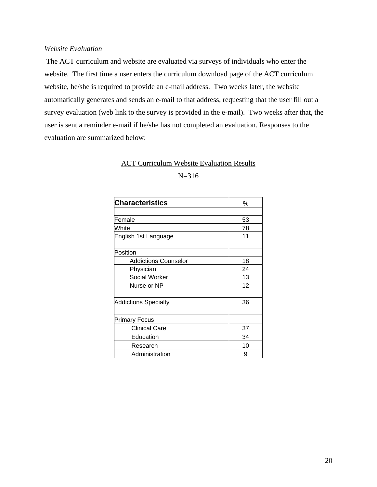### *Website Evaluation*

 The ACT curriculum and website are evaluated via surveys of individuals who enter the website. The first time a user enters the curriculum download page of the ACT curriculum website, he/she is required to provide an e-mail address. Two weeks later, the website automatically generates and sends an e-mail to that address, requesting that the user fill out a survey evaluation (web link to the survey is provided in the e-mail). Two weeks after that, the user is sent a reminder e-mail if he/she has not completed an evaluation. Responses to the evaluation are summarized below:

## ACT Curriculum Website Evaluation Results

## N=316

| <b>Characteristics</b>      | $\%$ |
|-----------------------------|------|
|                             |      |
| lFemale                     | 53   |
| White                       | 78   |
| English 1st Language        | 11   |
|                             |      |
| Position                    |      |
| <b>Addictions Counselor</b> | 18   |
| Physician                   | 24   |
| <b>Social Worker</b>        | 13   |
| Nurse or NP                 | 12   |
|                             |      |
| Addictions Specialty        | 36   |
|                             |      |
| <b>Primary Focus</b>        |      |
| <b>Clinical Care</b>        | 37   |
| Education                   | 34   |
| Research                    | 10   |
| Administration              | 9    |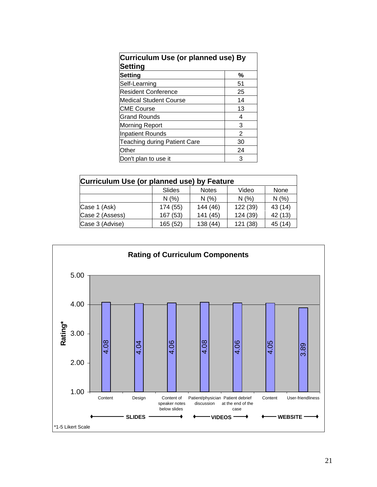| Curriculum Use (or planned use) By<br><b>Setting</b> |    |  |
|------------------------------------------------------|----|--|
| <b>Setting</b>                                       | %  |  |
| Self-Learning                                        | 51 |  |
| <b>Resident Conference</b>                           | 25 |  |
| <b>Medical Student Course</b>                        | 14 |  |
| <b>CME Course</b>                                    | 13 |  |
| <b>Grand Rounds</b>                                  | 4  |  |
| <b>Morning Report</b>                                | 3  |  |
| <b>Inpatient Rounds</b>                              | 2  |  |
| <b>Teaching during Patient Care</b>                  | 30 |  |
| Other                                                | 24 |  |
| Don't plan to use it                                 | З  |  |

| Curriculum Use (or planned use) by Feature |                                         |          |          |         |
|--------------------------------------------|-----------------------------------------|----------|----------|---------|
|                                            | Slides<br><b>Notes</b><br>Video<br>None |          |          |         |
|                                            | N(%                                     | N(%      | N(%)     | N(%     |
| Case 1 (Ask)                               | 174 (55)                                | 144 (46) | 122 (39) | 43 (14) |
| Case 2 (Assess)                            | 167 (53)                                | 141 (45) | 124 (39) | 42 (13) |
| Case 3 (Advise)                            | 165 (52)                                | 138(44)  | 121 (38) | 45 (14) |

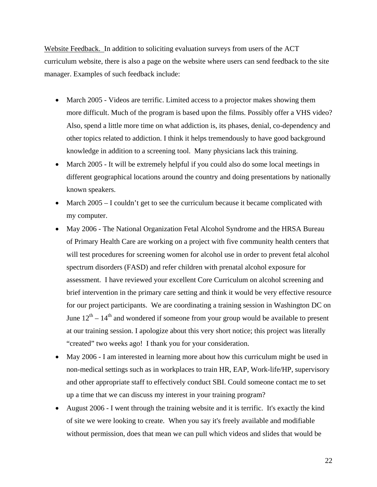Website Feedback. In addition to soliciting evaluation surveys from users of the ACT curriculum website, there is also a page on the website where users can send feedback to the site manager. Examples of such feedback include:

- March 2005 Videos are terrific. Limited access to a projector makes showing them more difficult. Much of the program is based upon the films. Possibly offer a VHS video? Also, spend a little more time on what addiction is, its phases, denial, co-dependency and other topics related to addiction. I think it helps tremendously to have good background knowledge in addition to a screening tool. Many physicians lack this training.
- March 2005 It will be extremely helpful if you could also do some local meetings in different geographical locations around the country and doing presentations by nationally known speakers.
- March 2005 I couldn't get to see the curriculum because it became complicated with my computer.
- May 2006 The National Organization Fetal Alcohol Syndrome and the HRSA Bureau of Primary Health Care are working on a project with five community health centers that will test procedures for screening women for alcohol use in order to prevent fetal alcohol spectrum disorders (FASD) and refer children with prenatal alcohol exposure for assessment. I have reviewed your excellent Core Curriculum on alcohol screening and brief intervention in the primary care setting and think it would be very effective resource for our project participants. We are coordinating a training session in Washington DC on June  $12^{th} - 14^{th}$  and wondered if someone from your group would be available to present at our training session. I apologize about this very short notice; this project was literally "created" two weeks ago! I thank you for your consideration.
- May 2006 I am interested in learning more about how this curriculum might be used in non-medical settings such as in workplaces to train HR, EAP, Work-life/HP, supervisory and other appropriate staff to effectively conduct SBI. Could someone contact me to set up a time that we can discuss my interest in your training program?
- August 2006 I went through the training website and it is terrific. It's exactly the kind of site we were looking to create. When you say it's freely available and modifiable without permission, does that mean we can pull which videos and slides that would be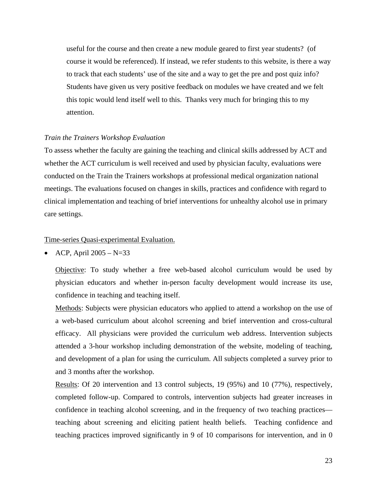useful for the course and then create a new module geared to first year students? (of course it would be referenced). If instead, we refer students to this website, is there a way to track that each students' use of the site and a way to get the pre and post quiz info? Students have given us very positive feedback on modules we have created and we felt this topic would lend itself well to this. Thanks very much for bringing this to my attention.

#### *Train the Trainers Workshop Evaluation*

To assess whether the faculty are gaining the teaching and clinical skills addressed by ACT and whether the ACT curriculum is well received and used by physician faculty, evaluations were conducted on the Train the Trainers workshops at professional medical organization national meetings. The evaluations focused on changes in skills, practices and confidence with regard to clinical implementation and teaching of brief interventions for unhealthy alcohol use in primary care settings.

Time-series Quasi-experimental Evaluation.

• ACP, April  $2005 - N = 33$ 

Objective: To study whether a free web-based alcohol curriculum would be used by physician educators and whether in-person faculty development would increase its use, confidence in teaching and teaching itself.

Methods: Subjects were physician educators who applied to attend a workshop on the use of a web-based curriculum about alcohol screening and brief intervention and cross-cultural efficacy. All physicians were provided the curriculum web address. Intervention subjects attended a 3-hour workshop including demonstration of the website, modeling of teaching, and development of a plan for using the curriculum. All subjects completed a survey prior to and 3 months after the workshop.

Results: Of 20 intervention and 13 control subjects, 19 (95%) and 10 (77%), respectively, completed follow-up. Compared to controls, intervention subjects had greater increases in confidence in teaching alcohol screening, and in the frequency of two teaching practices teaching about screening and eliciting patient health beliefs. Teaching confidence and teaching practices improved significantly in 9 of 10 comparisons for intervention, and in 0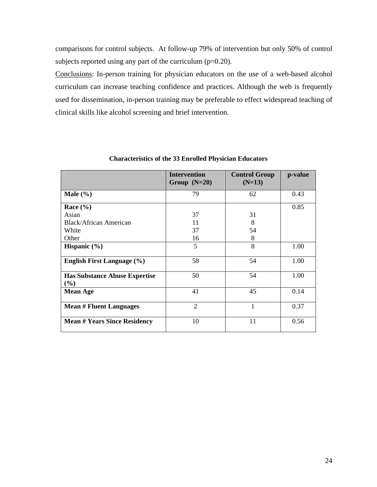comparisons for control subjects. At follow-up 79% of intervention but only 50% of control subjects reported using any part of the curriculum (p=0.20).

Conclusions: In-person training for physician educators on the use of a web-based alcohol curriculum can increase teaching confidence and practices. Although the web is frequently used for dissemination, in-person training may be preferable to effect widespread teaching of clinical skills like alcohol screening and brief intervention.

|                                                | <b>Intervention</b><br>Group $(N=20)$ | <b>Control Group</b><br>$(N=13)$ | p-value |
|------------------------------------------------|---------------------------------------|----------------------------------|---------|
| Male $(\% )$                                   | 79                                    | 62                               | 0.43    |
| Race $(\% )$                                   |                                       |                                  | 0.85    |
| Asian                                          | 37                                    | 31                               |         |
| Black/African American                         | 11                                    | 8                                |         |
| White                                          | 37                                    | 54                               |         |
| Other                                          | 16                                    | 8                                |         |
| Hispanic $(\% )$                               | 5                                     | 8                                | 1.00    |
| <b>English First Language</b> (%)              | 58                                    | 54                               | 1.00    |
| <b>Has Substance Abuse Expertise</b><br>$(\%)$ | 50                                    | 54                               | 1.00    |
| <b>Mean Age</b>                                | 41                                    | 45                               | 0.14    |
| <b>Mean # Fluent Languages</b>                 | $\overline{2}$                        | 1                                | 0.37    |
| <b>Mean # Years Since Residency</b>            | 10                                    | 11                               | 0.56    |

#### **Characteristics of the 33 Enrolled Physician Educators**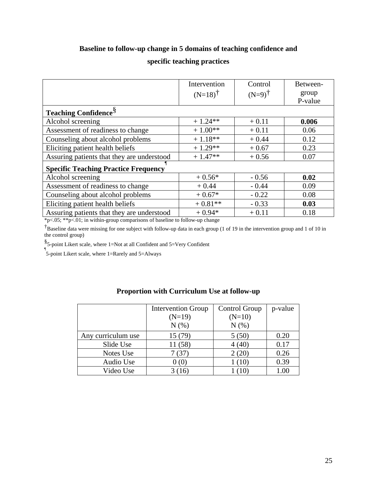## **Baseline to follow-up change in 5 domains of teaching confidence and**

## **specific teaching practices**

|                                             | Intervention       | Control           | Between-         |
|---------------------------------------------|--------------------|-------------------|------------------|
|                                             | $(N=18)^{\dagger}$ | $(N=9)^{\dagger}$ | group<br>P-value |
|                                             |                    |                   |                  |
| <b>Teaching Confidence</b> <sup>§</sup>     |                    |                   |                  |
| Alcohol screening                           | $+1.24**$          | $+0.11$           | 0.006            |
| Assessment of readiness to change           | $+1.00**$          | $+0.11$           | 0.06             |
| Counseling about alcohol problems           | $+1.18**$          | $+0.44$           | 0.12             |
| Eliciting patient health beliefs            | $+1.29**$          | $+0.67$           | 0.23             |
| Assuring patients that they are understood  | $+1.47**$          | $+0.56$           | 0.07             |
| <b>Specific Teaching Practice Frequency</b> |                    |                   |                  |
| Alcohol screening                           | $+0.56*$           | $-0.56$           | 0.02             |
| Assessment of readiness to change           | $+0.44$            | $-0.44$           | 0.09             |
| Counseling about alcohol problems           | $+0.67*$           | $-0.22$           | 0.08             |
| Eliciting patient health beliefs            | $+0.81**$          | $-0.33$           | 0.03             |
| Assuring patients that they are understood  | $+0.94*$           | $+0.11$           | 0.18             |

\*p<.05; \*\*p<.01; in within-group comparisons of baseline to follow-up change

†Baseline data were missing for one subject with follow-up data in each group (1 of 19 in the intervention group and 1 of 10 in the control group)

§ 5-point Likert scale, where 1=Not at all Confident and 5=Very Confident

¶ 5-point Likert scale, where 1=Rarely and 5=Always

|                    | <b>Intervention Group</b> | Control Group | p-value  |
|--------------------|---------------------------|---------------|----------|
|                    | $(N=19)$                  | $(N=10)$      |          |
|                    | N(% )                     | N(% )         |          |
| Any curriculum use | 15(79)                    | 5(50)         | 0.20     |
| Slide Use          | 11 (58)                   | 4 (40)        | 0.17     |
| Notes Use          |                           | 2(20)         | 0.26     |
| Audio Use          |                           | (10)          | 0.39     |
| Video Use          | <sup>16</sup>             |               | $1.00\,$ |

## **Proportion with Curriculum Use at follow-up**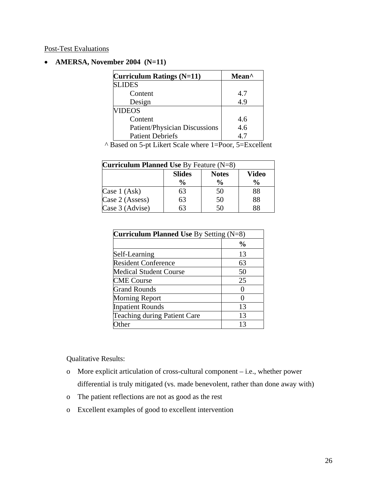Post-Test Evaluations

## • **AMERSA, November 2004 (N=11)**

| Curriculum Ratings (N=11)     | Mean <sup>^</sup> |
|-------------------------------|-------------------|
| <b>SLIDES</b>                 |                   |
| Content                       | 4.7               |
| Design                        | 4.9               |
| <b>VIDEOS</b>                 |                   |
| Content                       | 4.6               |
| Patient/Physician Discussions | 4.6               |
| <b>Patient Debriefs</b>       |                   |

^ Based on 5-pt Likert Scale where 1=Poor, 5=Excellent

| <b>Curriculum Planned Use By Feature (N=8)</b> |               |                              |               |  |  |
|------------------------------------------------|---------------|------------------------------|---------------|--|--|
|                                                | <b>Slides</b> | <b>Notes</b><br><b>Video</b> |               |  |  |
|                                                | $\frac{0}{0}$ | $\frac{0}{0}$                | $\frac{0}{0}$ |  |  |
| Case 1 (Ask)                                   | 63            | 50                           | 88            |  |  |
| Case 2 (Assess)                                | 63            | 50                           | 88            |  |  |
| Case 3 (Advise)                                |               | .50                          | 88            |  |  |

| <b>Curriculum Planned Use By Setting (N=8)</b> |              |  |
|------------------------------------------------|--------------|--|
|                                                | $\%$         |  |
| Self-Learning                                  | 13           |  |
| <b>Resident Conference</b>                     | 63           |  |
| <b>Medical Student Course</b>                  | 50           |  |
| <b>CME</b> Course                              | 25           |  |
| <b>Grand Rounds</b>                            |              |  |
| <b>Morning Report</b>                          | $\mathbf{0}$ |  |
| <b>Inpatient Rounds</b>                        | 13           |  |
| <b>Teaching during Patient Care</b>            | 13           |  |
| ther                                           | 13           |  |

Qualitative Results:

- o More explicit articulation of cross-cultural component i.e., whether power differential is truly mitigated (vs. made benevolent, rather than done away with)
- o The patient reflections are not as good as the rest
- o Excellent examples of good to excellent intervention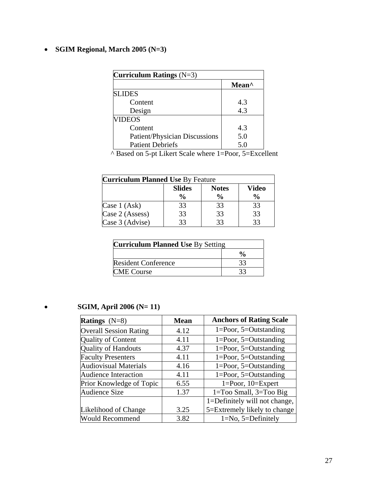## • **SGIM Regional, March 2005 (N=3)**

| Curriculum Ratings $(N=3)$           |       |  |
|--------------------------------------|-------|--|
|                                      | Mean^ |  |
| <b>SLIDES</b>                        |       |  |
| Content                              | 4.3   |  |
| Design                               | 4.3   |  |
| <b>VIDEOS</b>                        |       |  |
| Content                              | 4.3   |  |
| <b>Patient/Physician Discussions</b> | 5.0   |  |
| <b>Patient Debriefs</b>              | 5.0   |  |

^ Based on 5-pt Likert Scale where 1=Poor, 5=Excellent

| <b>Curriculum Planned Use By Feature</b> |               |               |               |  |
|------------------------------------------|---------------|---------------|---------------|--|
|                                          | <b>Slides</b> | <b>Notes</b>  | <b>Video</b>  |  |
|                                          | $\frac{6}{9}$ | $\frac{6}{9}$ | $\frac{0}{0}$ |  |
| Case 1 (Ask)                             | 33            | 33            | 33            |  |
| Case 2 (Assess)                          | 33            | 33            | 33            |  |
| Case 3 (Advise)                          | 33            | 33            | 33            |  |

| <b>Curriculum Planned Use By Setting</b> |    |
|------------------------------------------|----|
|                                          |    |
| <b>Resident Conference</b>               | 33 |
| <b>CME</b> Course                        |    |

## • **SGIM, April 2006 (N= 11)**

| <b>Ratings</b> $(N=8)$        | <b>Mean</b> | <b>Anchors of Rating Scale</b> |
|-------------------------------|-------------|--------------------------------|
| <b>Overall Session Rating</b> | 4.12        | $1 = Poor, 5 = Outstanding$    |
| <b>Quality of Content</b>     | 4.11        | $1 = Poor, 5 = Outstanding$    |
| <b>Quality of Handouts</b>    | 4.37        | $1 = Poor, 5 = Outstanding$    |
| <b>Faculty Presenters</b>     | 4.11        | $1 = Poor, 5 = Outstanding$    |
| <b>Audiovisual Materials</b>  | 4.16        | $1 = Poor, 5 = Outstanding$    |
| <b>Audience Interaction</b>   | 4.11        | $1 = Poor, 5 = Outstanding$    |
| Prior Knowledge of Topic      | 6.55        | $1 = Poor$ , $10 = Expert$     |
| <b>Audience Size</b>          | 1.37        | $1 = Too$ Small, $3 = Too$ Big |
|                               |             | 1=Definitely will not change,  |
| Likelihood of Change          | 3.25        | 5=Extremely likely to change   |
| <b>Would Recommend</b>        | 3.82        | $1=No, 5=Definitely$           |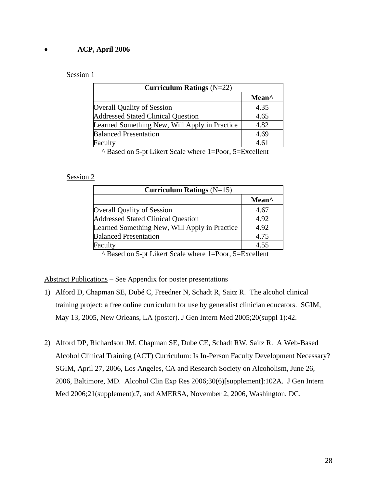## • **ACP, April 2006**

#### Session 1

| Curriculum Ratings $(N=22)$                   |       |  |
|-----------------------------------------------|-------|--|
|                                               | Mean^ |  |
| <b>Overall Quality of Session</b>             | 4.35  |  |
| <b>Addressed Stated Clinical Question</b>     | 4.65  |  |
| Learned Something New, Will Apply in Practice | 4.82  |  |
| <b>Balanced Presentation</b>                  | 4.69  |  |
| Faculty                                       | 4.61  |  |

^ Based on 5-pt Likert Scale where 1=Poor, 5=Excellent

#### Session 2

| Curriculum Ratings $(N=15)$                   |                   |  |
|-----------------------------------------------|-------------------|--|
|                                               | Mean <sup>^</sup> |  |
| <b>Overall Quality of Session</b>             | 4.67              |  |
| <b>Addressed Stated Clinical Question</b>     | 4.92              |  |
| Learned Something New, Will Apply in Practice | 4.92              |  |
| <b>Balanced Presentation</b>                  | 4.75              |  |
| Faculty                                       | 4.55              |  |

^ Based on 5-pt Likert Scale where 1=Poor, 5=Excellent

Abstract Publications – See Appendix for poster presentations

- 1) Alford D, Chapman SE, Dubé C, Freedner N, Schadt R, Saitz R. The alcohol clinical training project: a free online curriculum for use by generalist clinician educators. SGIM, May 13, 2005, New Orleans, LA (poster). J Gen Intern Med 2005;20(suppl 1):42.
- 2) Alford DP, Richardson JM, Chapman SE, Dube CE, Schadt RW, Saitz R. A Web-Based Alcohol Clinical Training (ACT) Curriculum: Is In-Person Faculty Development Necessary? SGIM, April 27, 2006, Los Angeles, CA and Research Society on Alcoholism, June 26, 2006, Baltimore, MD. Alcohol Clin Exp Res 2006;30(6)[supplement]:102A. J Gen Intern Med 2006;21(supplement):7, and AMERSA, November 2, 2006, Washington, DC.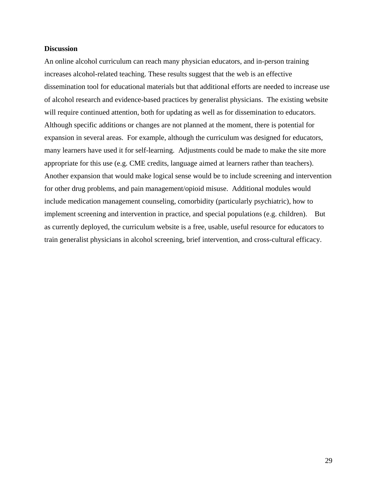#### **Discussion**

An online alcohol curriculum can reach many physician educators, and in-person training increases alcohol-related teaching. These results suggest that the web is an effective dissemination tool for educational materials but that additional efforts are needed to increase use of alcohol research and evidence-based practices by generalist physicians. The existing website will require continued attention, both for updating as well as for dissemination to educators. Although specific additions or changes are not planned at the moment, there is potential for expansion in several areas. For example, although the curriculum was designed for educators, many learners have used it for self-learning. Adjustments could be made to make the site more appropriate for this use (e.g. CME credits, language aimed at learners rather than teachers). Another expansion that would make logical sense would be to include screening and intervention for other drug problems, and pain management/opioid misuse. Additional modules would include medication management counseling, comorbidity (particularly psychiatric), how to implement screening and intervention in practice, and special populations (e.g. children). But as currently deployed, the curriculum website is a free, usable, useful resource for educators to train generalist physicians in alcohol screening, brief intervention, and cross-cultural efficacy.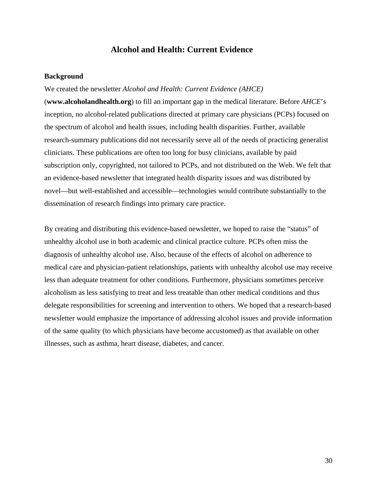## **Alcohol and Health: Current Evidence**

#### **Background**

#### We created the newsletter *Alcohol and Health: Current Evidence (AHCE)*

(**www.alcoholandhealth.org**) to fill an important gap in the medical literature. Before *AHCE*'s inception, no alcohol-related publications directed at primary care physicians (PCPs) focused on the spectrum of alcohol and health issues, including health disparities. Further, available research-summary publications did not necessarily serve all of the needs of practicing generalist clinicians. These publications are often too long for busy clinicians, available by paid subscription only, copyrighted, not tailored to PCPs, and not distributed on the Web. We felt that an evidence-based newsletter that integrated health disparity issues and was distributed by novel—but well-established and accessible—technologies would contribute substantially to the dissemination of research findings into primary care practice.

By creating and distributing this evidence-based newsletter, we hoped to raise the "status" of unhealthy alcohol use in both academic and clinical practice culture. PCPs often miss the diagnosis of unhealthy alcohol use. Also, because of the effects of alcohol on adherence to medical care and physician-patient relationships, patients with unhealthy alcohol use may receive less than adequate treatment for other conditions. Furthermore, physicians sometimes perceive alcoholism as less satisfying to treat and less treatable than other medical conditions and thus delegate responsibilities for screening and intervention to others. We hoped that a research-based newsletter would emphasize the importance of addressing alcohol issues and provide information of the same quality (to which physicians have become accustomed) as that available on other illnesses, such as asthma, heart disease, diabetes, and cancer.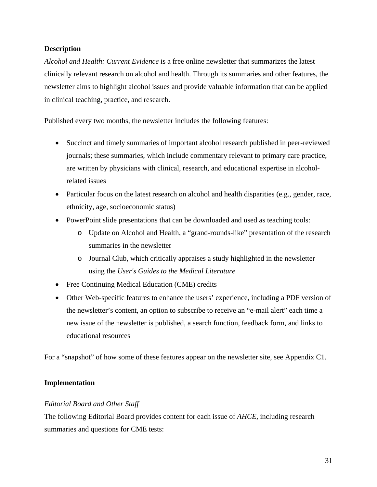## **Description**

*Alcohol and Health: Current Evidence* is a free online newsletter that summarizes the latest clinically relevant research on alcohol and health. Through its summaries and other features, the newsletter aims to highlight alcohol issues and provide valuable information that can be applied in clinical teaching, practice, and research.

Published every two months, the newsletter includes the following features:

- Succinct and timely summaries of important alcohol research published in peer-reviewed journals; these summaries, which include commentary relevant to primary care practice, are written by physicians with clinical, research, and educational expertise in alcoholrelated issues
- Particular focus on the latest research on alcohol and health disparities (e.g., gender, race, ethnicity, age, socioeconomic status)
- PowerPoint slide presentations that can be downloaded and used as teaching tools:
	- o Update on Alcohol and Health, a "grand-rounds-like" presentation of the research summaries in the newsletter
	- o Journal Club*,* which critically appraises a study highlighted in the newsletter using the *User's Guides to the Medical Literature*
- Free Continuing Medical Education (CME) credits
- Other Web-specific features to enhance the users' experience, including a PDF version of the newsletter's content, an option to subscribe to receive an "e-mail alert" each time a new issue of the newsletter is published, a search function, feedback form, and links to educational resources

For a "snapshot" of how some of these features appear on the newsletter site, see Appendix C1.

## **Implementation**

## *Editorial Board and Other Staff*

The following Editorial Board provides content for each issue of *AHCE*, including research summaries and questions for CME tests: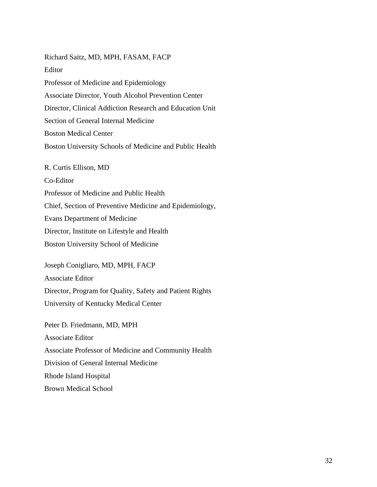Richard Saitz, MD, MPH, FASAM, FACP Editor Professor of Medicine and Epidemiology Associate Director, Youth Alcohol Prevention Center Director, Clinical Addiction Research and Education Unit Section of General Internal Medicine Boston Medical Center Boston University Schools of Medicine and Public Health R. Curtis Ellison, MD Co-Editor Professor of Medicine and Public Health Chief, Section of Preventive Medicine and Epidemiology, Evans Department of Medicine Director, Institute on Lifestyle and Health Boston University School of Medicine Joseph Conigliaro, MD, MPH, FACP Associate Editor Director, Program for Quality, Safety and Patient Rights University of Kentucky Medical Center

Peter D. Friedmann, MD, MPH Associate Editor Associate Professor of Medicine and Community Health Division of General Internal Medicine Rhode Island Hospital Brown Medical School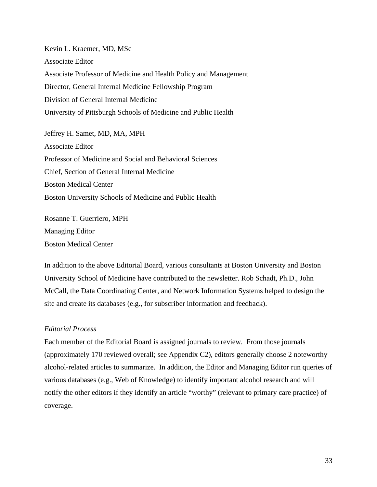Kevin L. Kraemer, MD, MSc Associate Editor Associate Professor of Medicine and Health Policy and Management Director, General Internal Medicine Fellowship Program Division of General Internal Medicine University of Pittsburgh Schools of Medicine and Public Health

Jeffrey H. Samet, MD, MA, MPH Associate Editor Professor of Medicine and Social and Behavioral Sciences Chief, Section of General Internal Medicine Boston Medical Center Boston University Schools of Medicine and Public Health

Rosanne T. Guerriero, MPH Managing Editor Boston Medical Center

In addition to the above Editorial Board, various consultants at Boston University and Boston University School of Medicine have contributed to the newsletter. Rob Schadt, Ph.D., John McCall, the Data Coordinating Center, and Network Information Systems helped to design the site and create its databases (e.g., for subscriber information and feedback).

#### *Editorial Process*

Each member of the Editorial Board is assigned journals to review. From those journals (approximately 170 reviewed overall; see Appendix C2), editors generally choose 2 noteworthy alcohol-related articles to summarize. In addition, the Editor and Managing Editor run queries of various databases (e.g., Web of Knowledge) to identify important alcohol research and will notify the other editors if they identify an article "worthy" (relevant to primary care practice) of coverage.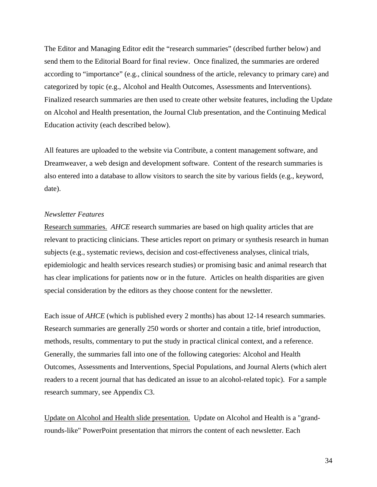The Editor and Managing Editor edit the "research summaries" (described further below) and send them to the Editorial Board for final review. Once finalized, the summaries are ordered according to "importance" (e.g., clinical soundness of the article, relevancy to primary care) and categorized by topic (e.g., Alcohol and Health Outcomes, Assessments and Interventions). Finalized research summaries are then used to create other website features, including the Update on Alcohol and Health presentation, the Journal Club presentation, and the Continuing Medical Education activity (each described below).

All features are uploaded to the website via Contribute, a content management software, and Dreamweaver, a web design and development software. Content of the research summaries is also entered into a database to allow visitors to search the site by various fields (e.g., keyword, date).

#### *Newsletter Features*

Research summaries. *AHCE* research summaries are based on high quality articles that are relevant to practicing clinicians. These articles report on primary or synthesis research in human subjects (e.g., systematic reviews, decision and cost-effectiveness analyses, clinical trials, epidemiologic and health services research studies) or promising basic and animal research that has clear implications for patients now or in the future. Articles on health disparities are given special consideration by the editors as they choose content for the newsletter.

Each issue of *AHCE* (which is published every 2 months) has about 12-14 research summaries. Research summaries are generally 250 words or shorter and contain a title, brief introduction, methods, results, commentary to put the study in practical clinical context, and a reference. Generally, the summaries fall into one of the following categories: Alcohol and Health Outcomes, Assessments and Interventions, Special Populations, and Journal Alerts (which alert readers to a recent journal that has dedicated an issue to an alcohol-related topic). For a sample research summary, see Appendix C3.

Update on Alcohol and Health slide presentation. Update on Alcohol and Health is a "grandrounds-like" PowerPoint presentation that mirrors the content of each newsletter. Each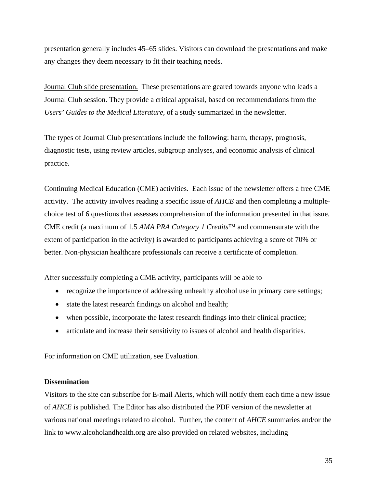presentation generally includes 45–65 slides. Visitors can download the presentations and make any changes they deem necessary to fit their teaching needs.

Journal Club slide presentation. These presentations are geared towards anyone who leads a Journal Club session. They provide a critical appraisal, based on recommendations from the *Users' Guides to the Medical Literature,* of a study summarized in the newsletter.

The types of Journal Club presentations include the following: harm, therapy, prognosis, diagnostic tests, using review articles, subgroup analyses, and economic analysis of clinical practice.

Continuing Medical Education (CME) activities. Each issue of the newsletter offers a free CME activity. The activity involves reading a specific issue of *AHCE* and then completing a multiplechoice test of 6 questions that assesses comprehension of the information presented in that issue. CME credit (a maximum of 1.5 *AMA PRA Category 1 Credits*™ and commensurate with the extent of participation in the activity) is awarded to participants achieving a score of 70% or better. Non-physician healthcare professionals can receive a certificate of completion.

After successfully completing a CME activity, participants will be able to

- recognize the importance of addressing unhealthy alcohol use in primary care settings;
- state the latest research findings on alcohol and health;
- when possible, incorporate the latest research findings into their clinical practice;
- articulate and increase their sensitivity to issues of alcohol and health disparities.

For information on CME utilization, see Evaluation.

#### **Dissemination**

Visitors to the site can subscribe for E-mail Alerts, which will notify them each time a new issue of *AHCE* is published. The Editor has also distributed the PDF version of the newsletter at various national meetings related to alcohol. Further, the content of *AHCE* summaries and/or the link to www.alcoholandhealth.org are also provided on related websites, including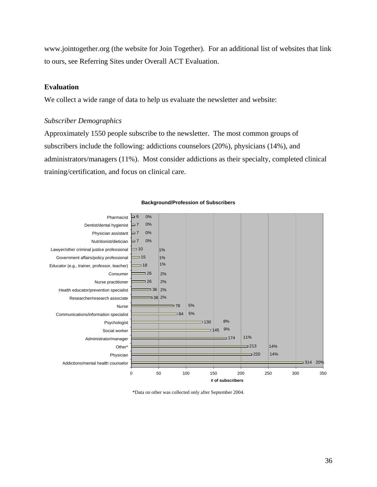www.jointogether.org (the website for Join Together). For an additional list of websites that link to ours, see Referring Sites under Overall ACT Evaluation.

#### **Evaluation**

We collect a wide range of data to help us evaluate the newsletter and website:

#### *Subscriber Demographics*

Approximately 1550 people subscribe to the newsletter. The most common groups of subscribers include the following: addictions counselors (20%), physicians (14%), and administrators/managers (11%). Most consider addictions as their specialty, completed clinical training/certification, and focus on clinical care.



#### **Background/Profession of Subscribers**

\*Data on other was collected only after September 2004.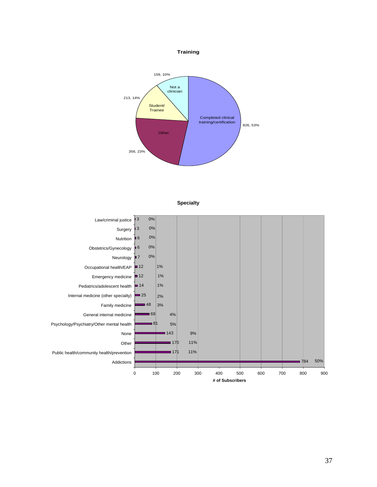

**Training**



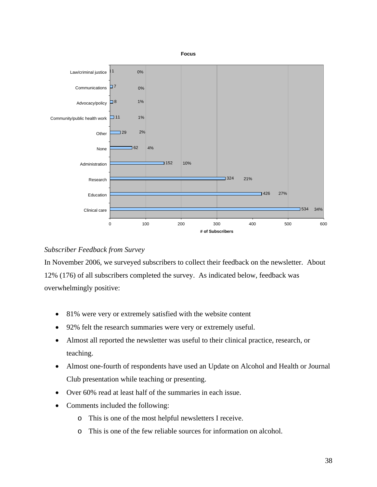

## *Subscriber Feedback from Survey*

In November 2006, we surveyed subscribers to collect their feedback on the newsletter. About 12% (176) of all subscribers completed the survey. As indicated below, feedback was overwhelmingly positive:

- 81% were very or extremely satisfied with the website content
- 92% felt the research summaries were very or extremely useful.
- Almost all reported the newsletter was useful to their clinical practice, research, or teaching.
- Almost one-fourth of respondents have used an Update on Alcohol and Health or Journal Club presentation while teaching or presenting.
- Over 60% read at least half of the summaries in each issue.
- Comments included the following:
	- o This is one of the most helpful newsletters I receive.
	- o This is one of the few reliable sources for information on alcohol.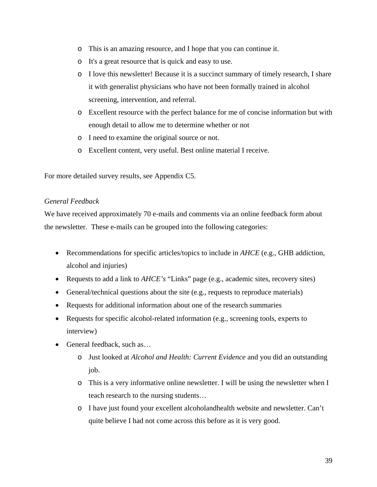- o This is an amazing resource, and I hope that you can continue it.
- o It's a great resource that is quick and easy to use.
- o I love this newsletter! Because it is a succinct summary of timely research, I share it with generalist physicians who have not been formally trained in alcohol screening, intervention, and referral.
- o Excellent resource with the perfect balance for me of concise information but with enough detail to allow me to determine whether or not
- o I need to examine the original source or not.
- o Excellent content, very useful. Best online material I receive.

For more detailed survey results, see Appendix C5.

## *General Feedback*

We have received approximately 70 e-mails and comments via an online feedback form about the newsletter. These e-mails can be grouped into the following categories:

- Recommendations for specific articles/topics to include in *AHCE* (e.g., GHB addiction, alcohol and injuries)
- Requests to add a link to *AHCE's* "Links" page (e.g., academic sites, recovery sites)
- General/technical questions about the site (e.g., requests to reproduce materials)
- Requests for additional information about one of the research summaries
- Requests for specific alcohol-related information (e.g., screening tools, experts to interview)
- General feedback, such as...
	- o Just looked at *Alcohol and Health: Current Evidence* and you did an outstanding job.
	- o This is a very informative online newsletter. I will be using the newsletter when I teach research to the nursing students…
	- o I have just found your excellent alcoholandhealth website and newsletter. Can't quite believe I had not come across this before as it is very good.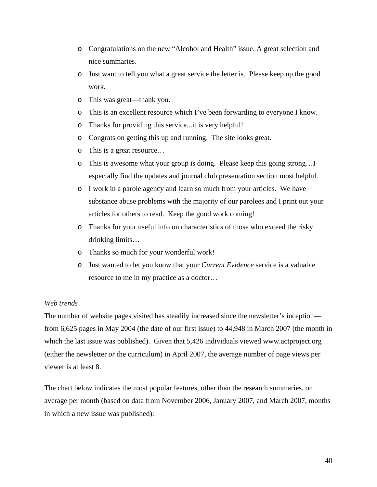- o Congratulations on the new "Alcohol and Health" issue. A great selection and nice summaries.
- o Just want to tell you what a great service the letter is. Please keep up the good work.
- o This was great—thank you.
- o This is an excellent resource which I've been forwarding to everyone I know.
- o Thanks for providing this service...it is very helpful!
- o Congrats on getting this up and running. The site looks great.
- o This is a great resource…
- o This is awesome what your group is doing. Please keep this going strong…I especially find the updates and journal club presentation section most helpful.
- o I work in a parole agency and learn so much from your articles. We have substance abuse problems with the majority of our parolees and I print out your articles for others to read. Keep the good work coming!
- o Thanks for your useful info on characteristics of those who exceed the risky drinking limits…
- o Thanks so much for your wonderful work!
- o Just wanted to let you know that your *Current Evidence* service is a valuable resource to me in my practice as a doctor…

#### *Web trends*

The number of website pages visited has steadily increased since the newsletter's inception from 6,625 pages in May 2004 (the date of our first issue) to 44,948 in March 2007 (the month in which the last issue was published). Given that 5,426 individuals viewed www.actproject.org (either the newsletter *or* the curriculum) in April 2007, the average number of page views per viewer is at least 8.

The chart below indicates the most popular features, other than the research summaries, on average per month (based on data from November 2006, January 2007, and March 2007, months in which a new issue was published):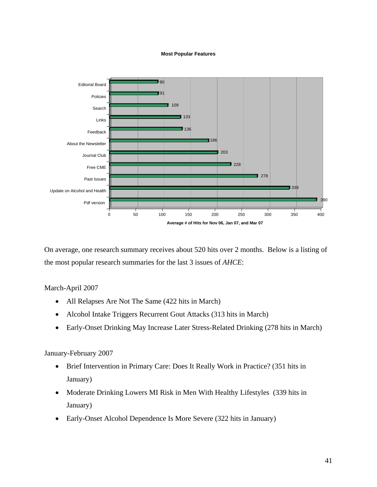#### **Most Popular Features**



On average, one research summary receives about 520 hits over 2 months. Below is a listing of the most popular research summaries for the last 3 issues of *AHCE*:

#### March-April 2007

- All Relapses Are Not The Same (422 hits in March)
- Alcohol Intake Triggers Recurrent Gout Attacks (313 hits in March)
- Early-Onset Drinking May Increase Later Stress-Related Drinking (278 hits in March)

#### January-February 2007

- Brief Intervention in Primary Care: Does It Really Work in Practice? (351 hits in January)
- Moderate Drinking Lowers MI Risk in Men With Healthy Lifestyles (339 hits in January)
- Early-Onset Alcohol Dependence Is More Severe (322 hits in January)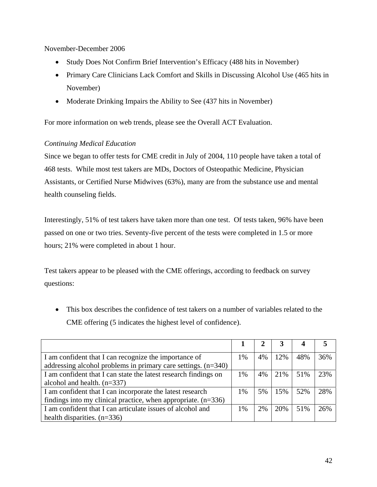November-December 2006

- Study Does Not Confirm Brief Intervention's Efficacy (488 hits in November)
- Primary Care Clinicians Lack Comfort and Skills in Discussing Alcohol Use (465 hits in November)
- Moderate Drinking Impairs the Ability to See (437 hits in November)

For more information on web trends, please see the Overall ACT Evaluation.

## *Continuing Medical Education*

Since we began to offer tests for CME credit in July of 2004, 110 people have taken a total of 468 tests. While most test takers are MDs, Doctors of Osteopathic Medicine, Physician Assistants, or Certified Nurse Midwives (63%), many are from the substance use and mental health counseling fields.

Interestingly, 51% of test takers have taken more than one test. Of tests taken, 96% have been passed on one or two tries. Seventy-five percent of the tests were completed in 1.5 or more hours; 21% were completed in about 1 hour.

Test takers appear to be pleased with the CME offerings, according to feedback on survey questions:

• This box describes the confidence of test takers on a number of variables related to the CME offering (5 indicates the highest level of confidence).

| I am confident that I can recognize the importance of           | 1% | 4% | 12% | 48% | 36% |
|-----------------------------------------------------------------|----|----|-----|-----|-----|
| addressing alcohol problems in primary care settings. $(n=340)$ |    |    |     |     |     |
| I am confident that I can state the latest research findings on | 1% | 4% | 21% | 51% | 23% |
| alcohol and health. $(n=337)$                                   |    |    |     |     |     |
| I am confident that I can incorporate the latest research       | 1% | 5% | 15% | 52% | 28% |
| findings into my clinical practice, when appropriate. $(n=336)$ |    |    |     |     |     |
| I am confident that I can articulate issues of alcohol and      | 1% | 2% | 20% | 51% | 26% |
| health disparities. $(n=336)$                                   |    |    |     |     |     |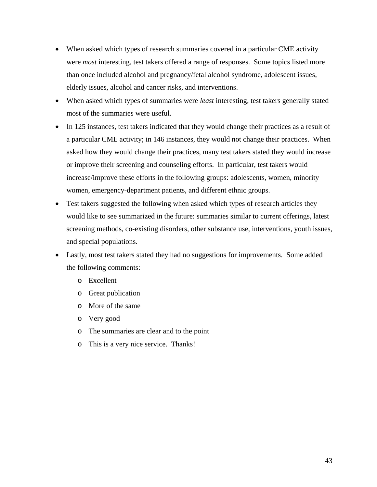- When asked which types of research summaries covered in a particular CME activity were *most* interesting, test takers offered a range of responses. Some topics listed more than once included alcohol and pregnancy/fetal alcohol syndrome, adolescent issues, elderly issues, alcohol and cancer risks, and interventions.
- When asked which types of summaries were *least* interesting, test takers generally stated most of the summaries were useful.
- In 125 instances, test takers indicated that they would change their practices as a result of a particular CME activity; in 146 instances, they would not change their practices. When asked how they would change their practices, many test takers stated they would increase or improve their screening and counseling efforts. In particular, test takers would increase/improve these efforts in the following groups: adolescents, women, minority women, emergency-department patients, and different ethnic groups.
- Test takers suggested the following when asked which types of research articles they would like to see summarized in the future: summaries similar to current offerings, latest screening methods, co-existing disorders, other substance use, interventions, youth issues, and special populations.
- Lastly, most test takers stated they had no suggestions for improvements. Some added the following comments:
	- o Excellent
	- o Great publication
	- o More of the same
	- o Very good
	- o The summaries are clear and to the point
	- o This is a very nice service. Thanks!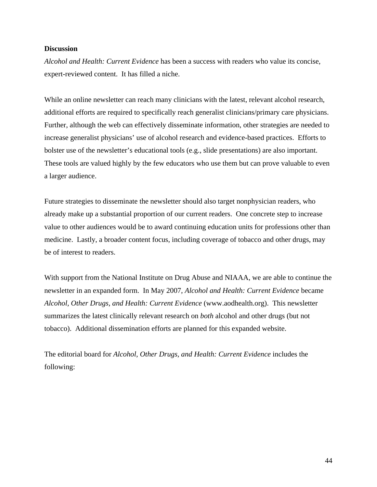#### **Discussion**

*Alcohol and Health: Current Evidence* has been a success with readers who value its concise, expert-reviewed content. It has filled a niche.

While an online newsletter can reach many clinicians with the latest, relevant alcohol research, additional efforts are required to specifically reach generalist clinicians/primary care physicians. Further, although the web can effectively disseminate information, other strategies are needed to increase generalist physicians' use of alcohol research and evidence-based practices. Efforts to bolster use of the newsletter's educational tools (e.g., slide presentations) are also important. These tools are valued highly by the few educators who use them but can prove valuable to even a larger audience.

Future strategies to disseminate the newsletter should also target nonphysician readers, who already make up a substantial proportion of our current readers. One concrete step to increase value to other audiences would be to award continuing education units for professions other than medicine. Lastly, a broader content focus, including coverage of tobacco and other drugs, may be of interest to readers.

With support from the National Institute on Drug Abuse and NIAAA, we are able to continue the newsletter in an expanded form. In May 2007, *Alcohol and Health: Current Evidence* became *Alcohol, Other Drugs, and Health: Current Evidence* (www.aodhealth.org). This newsletter summarizes the latest clinically relevant research on *both* alcohol and other drugs (but not tobacco). Additional dissemination efforts are planned for this expanded website.

The editorial board for *Alcohol, Other Drugs, and Health: Current Evidence* includes the following: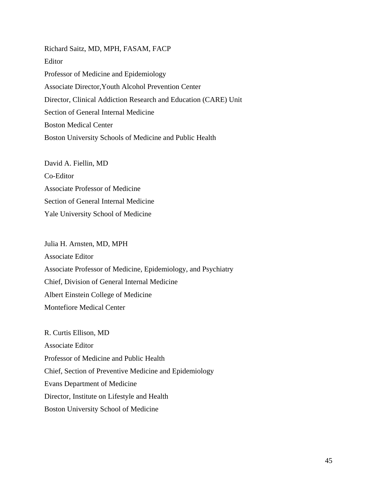Richard Saitz, MD, MPH, FASAM, FACP Editor Professor of Medicine and Epidemiology Associate Director,Youth Alcohol Prevention Center Director, Clinical Addiction Research and Education (CARE) Unit Section of General Internal Medicine Boston Medical Center Boston University Schools of Medicine and Public Health

David A. Fiellin, MD Co-Editor Associate Professor of Medicine Section of General Internal Medicine Yale University School of Medicine

#### Julia H. Arnsten, MD, MPH

Associate Editor Associate Professor of Medicine, Epidemiology, and Psychiatry Chief, Division of General Internal Medicine Albert Einstein College of Medicine Montefiore Medical Center

R. Curtis Ellison, MD Associate Editor Professor of Medicine and Public Health Chief, Section of Preventive Medicine and Epidemiology Evans Department of Medicine Director, Institute on Lifestyle and Health Boston University School of Medicine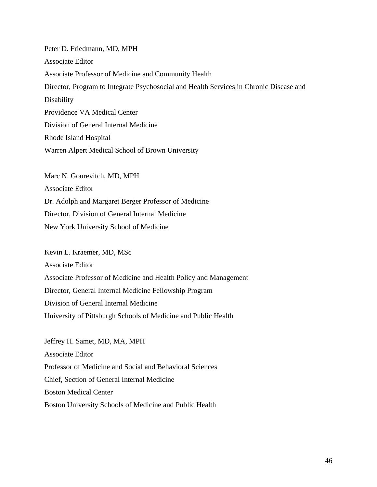Peter D. Friedmann, MD, MPH Associate Editor Associate Professor of Medicine and Community Health Director, Program to Integrate Psychosocial and Health Services in Chronic Disease and Disability Providence VA Medical Center Division of General Internal Medicine Rhode Island Hospital Warren Alpert Medical School of Brown University

Marc N. Gourevitch, MD, MPH Associate Editor Dr. Adolph and Margaret Berger Professor of Medicine Director, Division of General Internal Medicine New York University School of Medicine

Kevin L. Kraemer, MD, MSc Associate Editor Associate Professor of Medicine and Health Policy and Management Director, General Internal Medicine Fellowship Program Division of General Internal Medicine University of Pittsburgh Schools of Medicine and Public Health

Jeffrey H. Samet, MD, MA, MPH Associate Editor Professor of Medicine and Social and Behavioral Sciences Chief, Section of General Internal Medicine Boston Medical Center Boston University Schools of Medicine and Public Health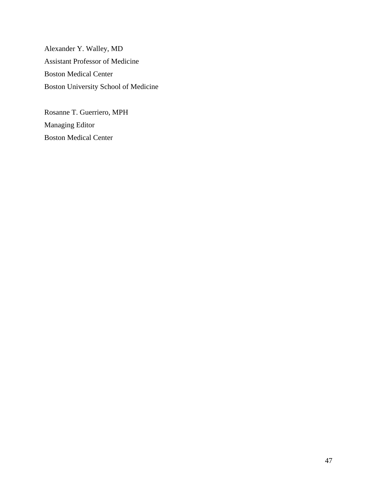Alexander Y. Walley, MD Assistant Professor of Medicine Boston Medical Center Boston University School of Medicine

Rosanne T. Guerriero, MPH Managing Editor Boston Medical Center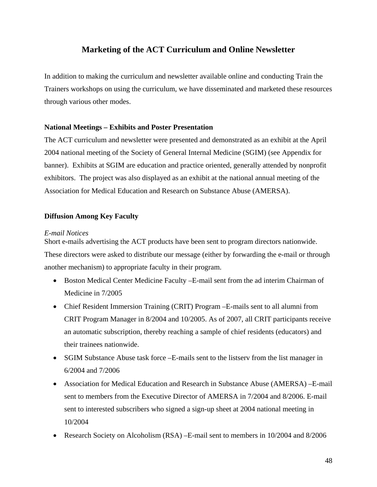## **Marketing of the ACT Curriculum and Online Newsletter**

In addition to making the curriculum and newsletter available online and conducting Train the Trainers workshops on using the curriculum, we have disseminated and marketed these resources through various other modes.

## **National Meetings – Exhibits and Poster Presentation**

The ACT curriculum and newsletter were presented and demonstrated as an exhibit at the April 2004 national meeting of the Society of General Internal Medicine (SGIM) (see Appendix for banner). Exhibits at SGIM are education and practice oriented, generally attended by nonprofit exhibitors. The project was also displayed as an exhibit at the national annual meeting of the Association for Medical Education and Research on Substance Abuse (AMERSA).

## **Diffusion Among Key Faculty**

#### *E-mail Notices*

Short e-mails advertising the ACT products have been sent to program directors nationwide. These directors were asked to distribute our message (either by forwarding the e-mail or through another mechanism) to appropriate faculty in their program.

- Boston Medical Center Medicine Faculty –E-mail sent from the ad interim Chairman of Medicine in 7/2005
- Chief Resident Immersion Training (CRIT) Program E-mails sent to all alumni from CRIT Program Manager in 8/2004 and 10/2005. As of 2007, all CRIT participants receive an automatic subscription, thereby reaching a sample of chief residents (educators) and their trainees nationwide.
- SGIM Substance Abuse task force –E-mails sent to the listserv from the list manager in 6/2004 and 7/2006
- Association for Medical Education and Research in Substance Abuse (AMERSA) E-mail sent to members from the Executive Director of AMERSA in 7/2004 and 8/2006. E-mail sent to interested subscribers who signed a sign-up sheet at 2004 national meeting in 10/2004
- Research Society on Alcoholism (RSA) –E-mail sent to members in 10/2004 and 8/2006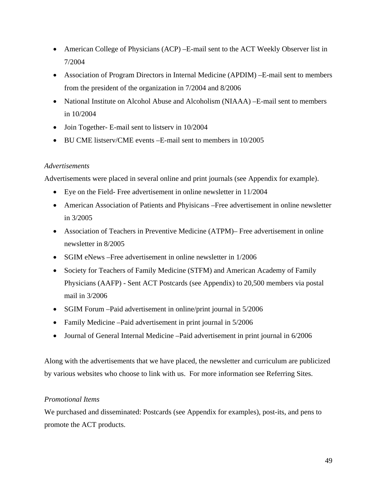- American College of Physicians (ACP) E-mail sent to the ACT Weekly Observer list in 7/2004
- Association of Program Directors in Internal Medicine (APDIM) E-mail sent to members from the president of the organization in 7/2004 and 8/2006
- National Institute on Alcohol Abuse and Alcoholism (NIAAA) E-mail sent to members in 10/2004
- Join Together- E-mail sent to listserv in 10/2004
- BU CME listserv/CME events E-mail sent to members in 10/2005

## *Advertisements*

Advertisements were placed in several online and print journals (see Appendix for example).

- Eye on the Field- Free advertisement in online newsletter in 11/2004
- American Association of Patients and Phyisicans –Free advertisement in online newsletter in 3/2005
- Association of Teachers in Preventive Medicine (ATPM)– Free advertisement in online newsletter in 8/2005
- SGIM eNews Free advertisement in online newsletter in 1/2006
- Society for Teachers of Family Medicine (STFM) and American Academy of Family Physicians (AAFP) - Sent ACT Postcards (see Appendix) to 20,500 members via postal mail in 3/2006
- SGIM Forum –Paid advertisement in online/print journal in 5/2006
- Family Medicine –Paid advertisement in print journal in  $5/2006$
- Journal of General Internal Medicine –Paid advertisement in print journal in 6/2006

Along with the advertisements that we have placed, the newsletter and curriculum are publicized by various websites who choose to link with us. For more information see Referring Sites.

#### *Promotional Items*

We purchased and disseminated: Postcards (see Appendix for examples), post-its, and pens to promote the ACT products.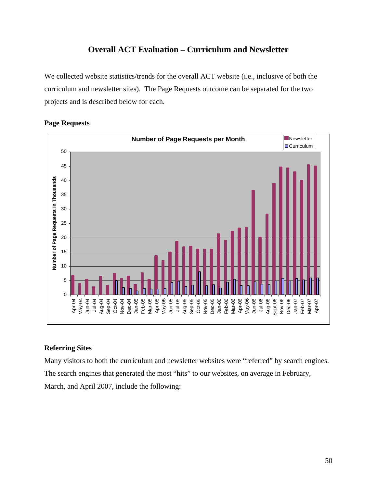## **Overall ACT Evaluation – Curriculum and Newsletter**

We collected website statistics/trends for the overall ACT website (i.e., inclusive of both the curriculum and newsletter sites). The Page Requests outcome can be separated for the two projects and is described below for each.



### **Page Requests**

## **Referring Sites**

Many visitors to both the curriculum and newsletter websites were "referred" by search engines. The search engines that generated the most "hits" to our websites, on average in February, March, and April 2007, include the following: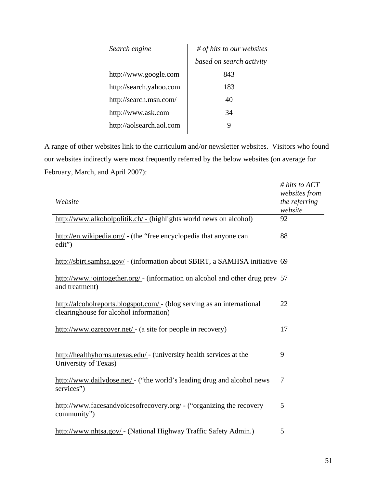| Search engine            | $#$ of hits to our websites |  |  |  |
|--------------------------|-----------------------------|--|--|--|
|                          | based on search activity    |  |  |  |
| http://www.google.com    | 843                         |  |  |  |
| http://search.yahoo.com  | 183                         |  |  |  |
| http://search.msn.com/   | 40                          |  |  |  |
| http://www.ask.com       | 34                          |  |  |  |
| http://aolsearch.aol.com |                             |  |  |  |

A range of other websites link to the curriculum and/or newsletter websites. Visitors who found our websites indirectly were most frequently referred by the below websites (on average for February, March, and April 2007):

| Website                                                                                                           | # hits to $ACT$<br>websites from<br>the referring<br>website |
|-------------------------------------------------------------------------------------------------------------------|--------------------------------------------------------------|
| http://www.alkoholpolitik.ch/ - (highlights world news on alcohol)                                                | 92                                                           |
| http://en.wikipedia.org/ - (the "free encyclopedia that anyone can<br>edit")                                      | 88                                                           |
| http://sbirt.samhsa.gov/ - (information about SBIRT, a SAMHSA initiative 69                                       |                                                              |
| http://www.jointogether.org/ - (information on alcohol and other drug prev<br>and treatment)                      | 57                                                           |
| http://alcoholreports.blogspot.com/ - (blog serving as an international<br>clearinghouse for alcohol information) | 22                                                           |
| http://www.ozrecover.net/ - (a site for people in recovery)                                                       | 17                                                           |
| http://healthyhorns.utexas.edu/ - (university health services at the<br>University of Texas)                      | 9                                                            |
| http://www.dailydose.net/ - ("the world's leading drug and alcohol news<br>services")                             | $\overline{7}$                                               |
| http://www.facesandvoicesofrecovery.org/ - ("organizing the recovery<br>community")                               | 5                                                            |
| http://www.nhtsa.gov/ - (National Highway Traffic Safety Admin.)                                                  | 5                                                            |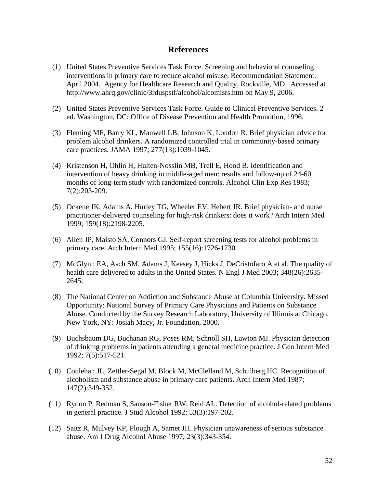## **References**

- (1) United States Preventive Services Task Force. Screening and behavioral counseling interventions in primary care to reduce alcohol misuse. Recommendation Statement. April 2004. Agency for Healthcare Research and Quality, Rockville, MD. Accessed at http://www.ahrq.gov/clinic/3rduspstf/alcohol/alcomisrs.htm on May 9, 2006.
- (2) United States Preventive Services Task Force. Guide to Clinical Preventive Services. 2 ed. Washington, DC: Office of Disease Prevention and Health Promotion, 1996.
- (3) Fleming MF, Barry KL, Manwell LB, Johnson K, London R. Brief physician advice for problem alcohol drinkers. A randomized controlled trial in community-based primary care practices. JAMA 1997; 277(13):1039-1045.
- (4) Kristenson H, Ohlin H, Hulten-Nosslin MB, Trell E, Hood B. Identification and intervention of heavy drinking in middle-aged men: results and follow-up of 24-60 months of long-term study with randomized controls. Alcohol Clin Exp Res 1983; 7(2):203-209.
- (5) Ockene JK, Adams A, Hurley TG, Wheeler EV, Hebert JR. Brief physician- and nurse practitioner-delivered counseling for high-risk drinkers: does it work? Arch Intern Med 1999; 159(18):2198-2205.
- (6) Allen JP, Maisto SA, Connors GJ. Self-report screening tests for alcohol problems in primary care. Arch Intern Med 1995; 155(16):1726-1730.
- (7) McGlynn EA, Asch SM, Adams J, Keesey J, Hicks J, DeCristofaro A et al. The quality of health care delivered to adults in the United States. N Engl J Med 2003; 348(26):2635- 2645.
- (8) The National Center on Addiction and Substance Abuse at Columbia University. Missed Opportunity: National Survey of Primary Care Physicians and Patients on Substance Abuse. Conducted by the Survey Research Laboratory, University of Illinois at Chicago. New York, NY: Josiah Macy, Jr. Foundation, 2000.
- (9) Buchsbaum DG, Buchanan RG, Poses RM, Schnoll SH, Lawton MJ. Physician detection of drinking problems in patients attending a general medicine practice. J Gen Intern Med 1992; 7(5):517-521.
- (10) Coulehan JL, Zettler-Segal M, Block M, McClelland M, Schulberg HC. Recognition of alcoholism and substance abuse in primary care patients. Arch Intern Med 1987; 147(2):349-352.
- (11) Rydon P, Redman S, Sanson-Fisher RW, Reid AL. Detection of alcohol-related problems in general practice. J Stud Alcohol 1992; 53(3):197-202.
- (12) Saitz R, Mulvey KP, Plough A, Samet JH. Physician unawareness of serious substance abuse. Am J Drug Alcohol Abuse 1997; 23(3):343-354.